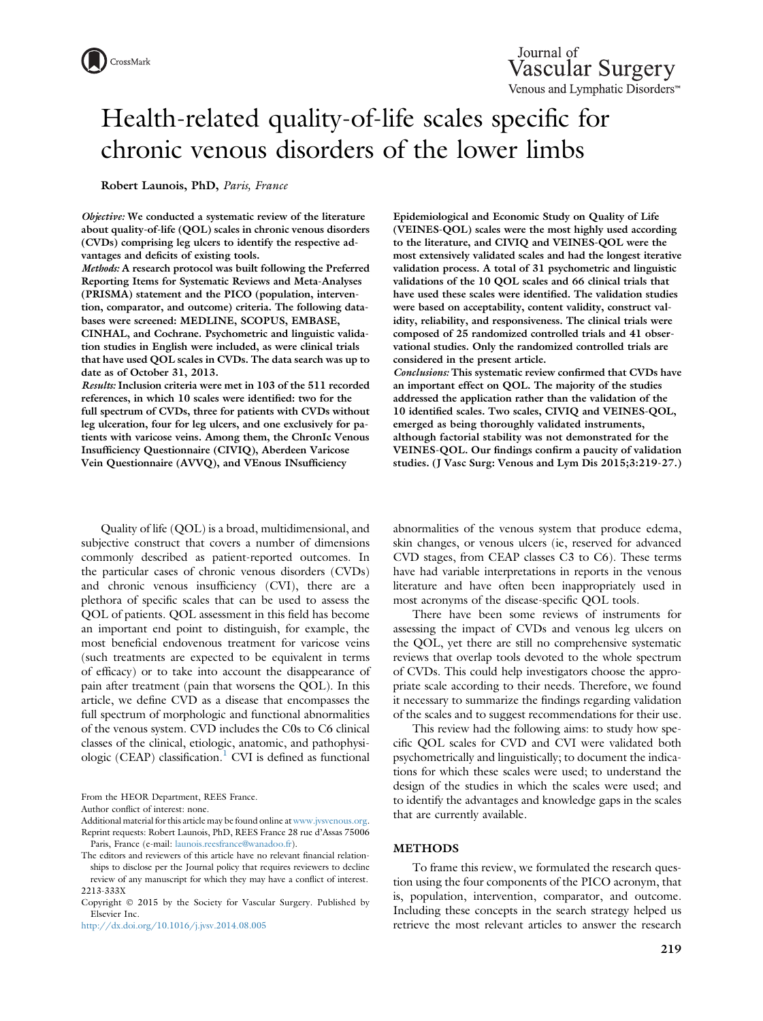# Health-related quality-of-life scales specific for chronic venous disorders of the lower limbs

Robert Launois, PhD, Paris, France

Objective: We conducted a systematic review of the literature about quality-of-life (QOL) scales in chronic venous disorders (CVDs) comprising leg ulcers to identify the respective advantages and deficits of existing tools.

Methods: A research protocol was built following the Preferred Reporting Items for Systematic Reviews and Meta-Analyses (PRISMA) statement and the PICO (population, intervention, comparator, and outcome) criteria. The following databases were screened: MEDLINE, SCOPUS, EMBASE, CINHAL, and Cochrane. Psychometric and linguistic validation studies in English were included, as were clinical trials that have used QOL scales in CVDs. The data search was up to date as of October 31, 2013.

Results: Inclusion criteria were met in 103 of the 511 recorded references, in which 10 scales were identified: two for the full spectrum of CVDs, three for patients with CVDs without leg ulceration, four for leg ulcers, and one exclusively for patients with varicose veins. Among them, the ChronIc Venous Insufficiency Questionnaire (CIVIQ), Aberdeen Varicose Vein Questionnaire (AVVQ), and VEnous INsufficiency

Quality of life (QOL) is a broad, multidimensional, and subjective construct that covers a number of dimensions commonly described as patient-reported outcomes. In the particular cases of chronic venous disorders (CVDs) and chronic venous insufficiency (CVI), there are a plethora of specific scales that can be used to assess the QOL of patients. QOL assessment in this field has become an important end point to distinguish, for example, the most beneficial endovenous treatment for varicose veins (such treatments are expected to be equivalent in terms of efficacy) or to take into account the disappearance of pain after treatment (pain that worsens the QOL). In this article, we define CVD as a disease that encompasses the full spectrum of morphologic and functional abnormalities of the venous system. CVD includes the C0s to C6 clinical classes of the clinical, etiologic, anatomic, and pathophysi-ologic (CEAP) classification.<sup>[1](#page-6-0)</sup> CVI is defined as functional

From the HEOR Department, REES France.

Author conflict of interest: none.

Additional material for this article may be found online at [www.jvsvenous.org.](http://www.jvsvenous.org) Reprint requests: Robert Launois, PhD, REES France 28 rue d'Assas 75006

Paris, France (e-mail: [launois.reesfrance@wanadoo.fr\)](mailto:launois.reesfrance@wanadoo.fr).

The editors and reviewers of this article have no relevant financial relationships to disclose per the Journal policy that requires reviewers to decline

review of any manuscript for which they may have a conflict of interest. 2213-333X Copyright 2015 by the Society for Vascular Surgery. Published by

<http://dx.doi.org/10.1016/j.jvsv.2014.08.005>

Epidemiological and Economic Study on Quality of Life (VEINES-QOL) scales were the most highly used according to the literature, and CIVIQ and VEINES-QOL were the most extensively validated scales and had the longest iterative validation process. A total of 31 psychometric and linguistic validations of the 10 QOL scales and 66 clinical trials that have used these scales were identified. The validation studies were based on acceptability, content validity, construct validity, reliability, and responsiveness. The clinical trials were composed of 25 randomized controlled trials and 41 observational studies. Only the randomized controlled trials are considered in the present article. Conclusions: This systematic review confirmed that CVDs have

an important effect on QOL. The majority of the studies addressed the application rather than the validation of the 10 identified scales. Two scales, CIVIQ and VEINES-QOL, emerged as being thoroughly validated instruments, although factorial stability was not demonstrated for the VEINES-QOL. Our findings confirm a paucity of validation studies. (J Vasc Surg: Venous and Lym Dis 2015;3:219-27.)

abnormalities of the venous system that produce edema, skin changes, or venous ulcers (ie, reserved for advanced CVD stages, from CEAP classes C3 to C6). These terms have had variable interpretations in reports in the venous literature and have often been inappropriately used in most acronyms of the disease-specific QOL tools.

There have been some reviews of instruments for assessing the impact of CVDs and venous leg ulcers on the QOL, yet there are still no comprehensive systematic reviews that overlap tools devoted to the whole spectrum of CVDs. This could help investigators choose the appropriate scale according to their needs. Therefore, we found it necessary to summarize the findings regarding validation of the scales and to suggest recommendations for their use.

This review had the following aims: to study how specific QOL scales for CVD and CVI were validated both psychometrically and linguistically; to document the indications for which these scales were used; to understand the design of the studies in which the scales were used; and to identify the advantages and knowledge gaps in the scales that are currently available.

#### METHODS

To frame this review, we formulated the research question using the four components of the PICO acronym, that is, population, intervention, comparator, and outcome. Including these concepts in the search strategy helped us retrieve the most relevant articles to answer the research

Elsevier Inc.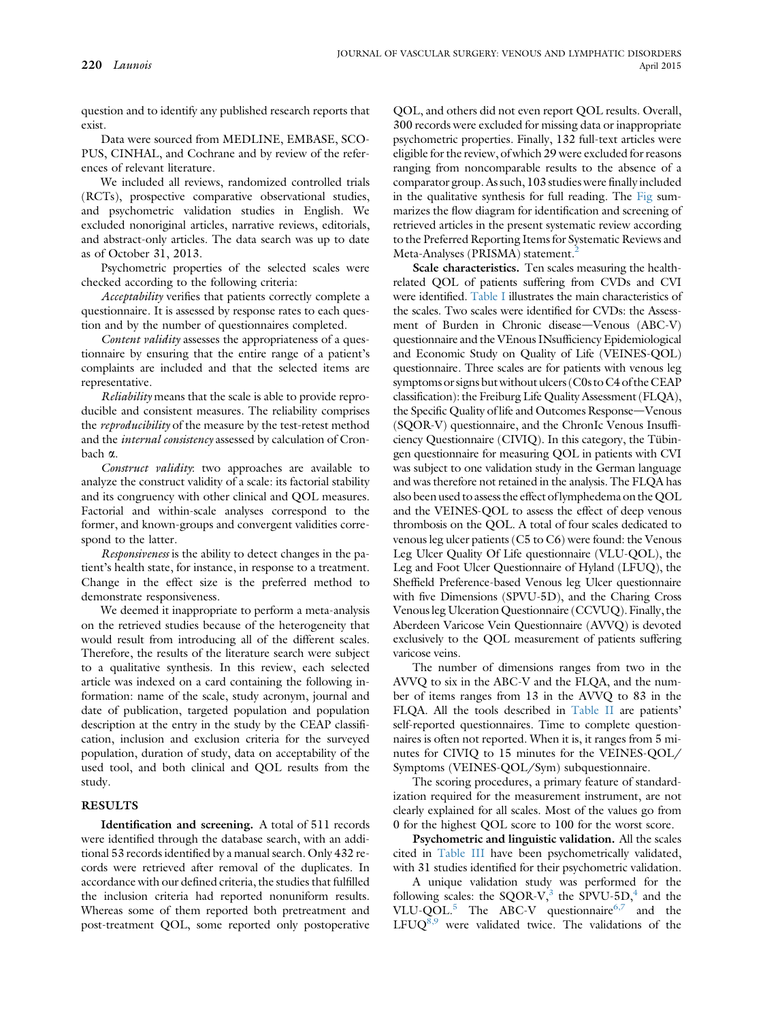question and to identify any published research reports that exist.

Data were sourced from MEDLINE, EMBASE, SCO-PUS, CINHAL, and Cochrane and by review of the references of relevant literature.

We included all reviews, randomized controlled trials (RCTs), prospective comparative observational studies, and psychometric validation studies in English. We excluded nonoriginal articles, narrative reviews, editorials, and abstract-only articles. The data search was up to date as of October 31, 2013.

Psychometric properties of the selected scales were checked according to the following criteria:

Acceptability verifies that patients correctly complete a questionnaire. It is assessed by response rates to each question and by the number of questionnaires completed.

Content validity assesses the appropriateness of a questionnaire by ensuring that the entire range of a patient's complaints are included and that the selected items are representative.

Reliability means that the scale is able to provide reproducible and consistent measures. The reliability comprises the *reproducibility* of the measure by the test-retest method and the *internal consistency* assessed by calculation of Cronbach a.

Construct validity: two approaches are available to analyze the construct validity of a scale: its factorial stability and its congruency with other clinical and QOL measures. Factorial and within-scale analyses correspond to the former, and known-groups and convergent validities correspond to the latter.

Responsiveness is the ability to detect changes in the patient's health state, for instance, in response to a treatment. Change in the effect size is the preferred method to demonstrate responsiveness.

We deemed it inappropriate to perform a meta-analysis on the retrieved studies because of the heterogeneity that would result from introducing all of the different scales. Therefore, the results of the literature search were subject to a qualitative synthesis. In this review, each selected article was indexed on a card containing the following information: name of the scale, study acronym, journal and date of publication, targeted population and population description at the entry in the study by the CEAP classification, inclusion and exclusion criteria for the surveyed population, duration of study, data on acceptability of the used tool, and both clinical and QOL results from the study.

## RESULTS

Identification and screening. A total of 511 records were identified through the database search, with an additional 53 records identified by a manual search. Only 432 records were retrieved after removal of the duplicates. In accordance with our defined criteria, the studies that fulfilled the inclusion criteria had reported nonuniform results. Whereas some of them reported both pretreatment and post-treatment QOL, some reported only postoperative

QOL, and others did not even report QOL results. Overall, 300 records were excluded for missing data or inappropriate psychometric properties. Finally, 132 full-text articles were eligible for the review, of which 29 were excluded for reasons ranging from noncomparable results to the absence of a comparator group. As such, 103 studies were finally included in the qualitative synthesis for full reading. The [Fig](#page-2-0) summarizes the flow diagram for identification and screening of retrieved articles in the present systematic review according to the Preferred Reporting Items for Systematic Reviews and Meta-Analyses (PRISMA) statement.<sup>[2](#page-6-0)</sup>

Scale characteristics. Ten scales measuring the healthrelated QOL of patients suffering from CVDs and CVI were identified. [Table I](#page-2-0) illustrates the main characteristics of the scales. Two scales were identified for CVDs: the Assessment of Burden in Chronic disease-Venous (ABC-V) questionnaire and the VEnous INsufficiency Epidemiological and Economic Study on Quality of Life (VEINES-QOL) questionnaire. Three scales are for patients with venous leg symptoms or signs but without ulcers (C0s to C4 of the CEAP classification): the Freiburg Life Quality Assessment (FLQA), the Specific Quality of life and Outcomes Response-Venous (SQOR-V) questionnaire, and the ChronIc Venous Insufficiency Questionnaire (CIVIQ). In this category, the Tübingen questionnaire for measuring QOL in patients with CVI was subject to one validation study in the German language and was therefore not retained in the analysis. The FLQA has also been used to assess the effect of lymphedema on the QOL and the VEINES-QOL to assess the effect of deep venous thrombosis on the QOL. A total of four scales dedicated to venous leg ulcer patients (C5 to C6) were found: the Venous Leg Ulcer Quality Of Life questionnaire (VLU-QOL), the Leg and Foot Ulcer Questionnaire of Hyland (LFUQ), the Sheffield Preference-based Venous leg Ulcer questionnaire with five Dimensions (SPVU-5D), and the Charing Cross Venous leg Ulceration Questionnaire (CCVUQ). Finally, the Aberdeen Varicose Vein Questionnaire (AVVQ) is devoted exclusively to the QOL measurement of patients suffering varicose veins.

The number of dimensions ranges from two in the AVVQ to six in the ABC-V and the FLQA, and the number of items ranges from 13 in the AVVQ to 83 in the FLQA. All the tools described in [Table II](#page-3-0) are patients' self-reported questionnaires. Time to complete questionnaires is often not reported. When it is, it ranges from 5 minutes for CIVIQ to 15 minutes for the VEINES-QOL/ Symptoms (VEINES-QOL/Sym) subquestionnaire.

The scoring procedures, a primary feature of standardization required for the measurement instrument, are not clearly explained for all scales. Most of the values go from 0 for the highest QOL score to 100 for the worst score.

Psychometric and linguistic validation. All the scales cited in [Table III](#page-4-0) have been psychometrically validated, with 31 studies identified for their psychometric validation.

A unique validation study was performed for the following scales: the SQOR-V, $3$  the SPVU-5D, $4$  and the VLU-QOL.<sup>[5](#page-7-0)</sup> The ABC-V questionnaire<sup>6,7</sup> and the  $LFUQ<sup>8,9</sup>$  were validated twice. The validations of the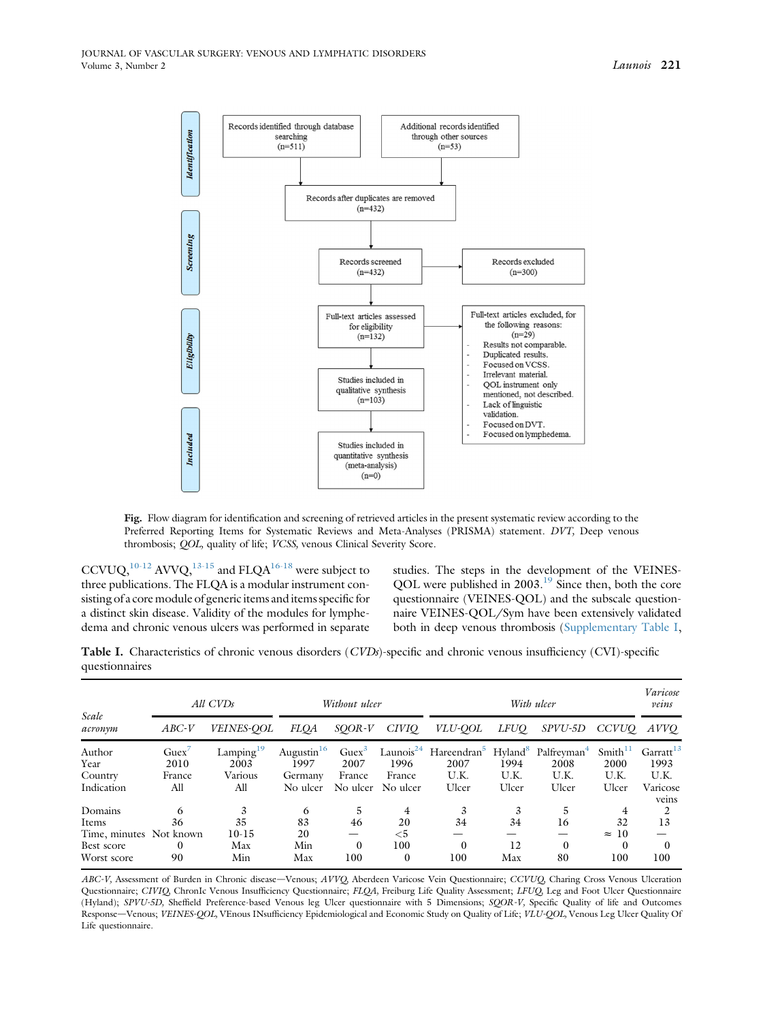<span id="page-2-0"></span>

Fig. Flow diagram for identification and screening of retrieved articles in the present systematic review according to the Preferred Reporting Items for Systematic Reviews and Meta-Analyses (PRISMA) statement. DVT, Deep venous thrombosis; QOL, quality of life; VCSS, venous Clinical Severity Score.

CCVUQ,  $10^{-12}$  AVVQ,  $13^{-15}$  and FLQA $16^{-18}$  were subject to three publications. The FLQA is a modular instrument consisting of a core module of generic items and items specific for a distinct skin disease. Validity of the modules for lymphedema and chronic venous ulcers was performed in separate

studies. The steps in the development of the VEINES-QOL were published in 2003.[19](#page-7-0) Since then, both the core questionnaire (VEINES-QOL) and the subscale questionnaire VEINES-QOL/Sym have been extensively validated both in deep venous thrombosis (Supplementary Table I,

Table I. Characteristics of chronic venous disorders (CVDs)-specific and chronic venous insufficiency (CVI)-specific questionnaires

|                                                                          | All CVDs                       |                                        | Without ulcer                                |                                        |                                               | With ulcer                                       |                                              |                                                  |                                              | Varicose<br>veins                                          |
|--------------------------------------------------------------------------|--------------------------------|----------------------------------------|----------------------------------------------|----------------------------------------|-----------------------------------------------|--------------------------------------------------|----------------------------------------------|--------------------------------------------------|----------------------------------------------|------------------------------------------------------------|
| Scale<br>acronym                                                         | $ABC-V$                        | <b>VEINES-OOL</b>                      | <b>FLOA</b>                                  | $SOOR-V$                               | CIVIO                                         | <i>VLU-OOL</i>                                   | <i>LFUO</i>                                  | SPVU-5D                                          | <i>CCVUO</i>                                 | AVVO                                                       |
| Author<br>Year<br>Country<br>Indication                                  | Guez'<br>2010<br>France<br>All | Lamping $19$<br>2003<br>Various<br>All | Augustin $16$<br>1997<br>Germany<br>No ulcer | $Guez^3$<br>2007<br>France<br>No ulcer | Launois $^{24}$<br>1996<br>France<br>No ulcer | Hareendran <sup>5</sup><br>2007<br>U.K.<br>Ulcer | Hyland <sup>8</sup><br>1994<br>U.K.<br>Ulcer | Palfreyman <sup>4</sup><br>2008<br>U.K.<br>Ulcer | Smith <sup>11</sup><br>2000<br>U.K.<br>Ulcer | Garratt <sup>13</sup><br>1993<br>U.K.<br>Varicose<br>veins |
| Domains<br>Items<br>Time, minutes Not known<br>Best score<br>Worst score | 6<br>36<br>$\Omega$<br>90      | 3<br>35<br>$10-15$<br>Max<br>Min       | 6<br>83<br>20<br>Min<br>Max                  | 5<br>46<br>$\Omega$<br>100             | 4<br>20<br>$<$ 5<br>100<br>$\Omega$           | 3<br>34<br>$\Omega$<br>100                       | 3<br>34<br>12<br>Max                         | 5<br>16<br>$\Omega$<br>80                        | 4<br>32<br>$\approx 10$<br>$\Omega$<br>100   | 13<br>$\Omega$<br>100                                      |

ABC-V, Assessment of Burden in Chronic disease—Venous; AVVQ, Aberdeen Varicose Vein Questionnaire; CCVUQ, Charing Cross Venous Ulceration Questionnaire; CIVIQ, ChronIc Venous Insufficiency Questionnaire; FLQA, Freiburg Life Quality Assessment; LFUQ, Leg and Foot Ulcer Questionnaire (Hyland); SPVU-5D, Sheffield Preference-based Venous leg Ulcer questionnaire with 5 Dimensions; SQOR-V, Specific Quality of life and Outcomes Response-Venous; VEINES-QOL, VEnous INsufficiency Epidemiological and Economic Study on Quality of Life; VLU-QOL, Venous Leg Ulcer Quality Of Life questionnaire.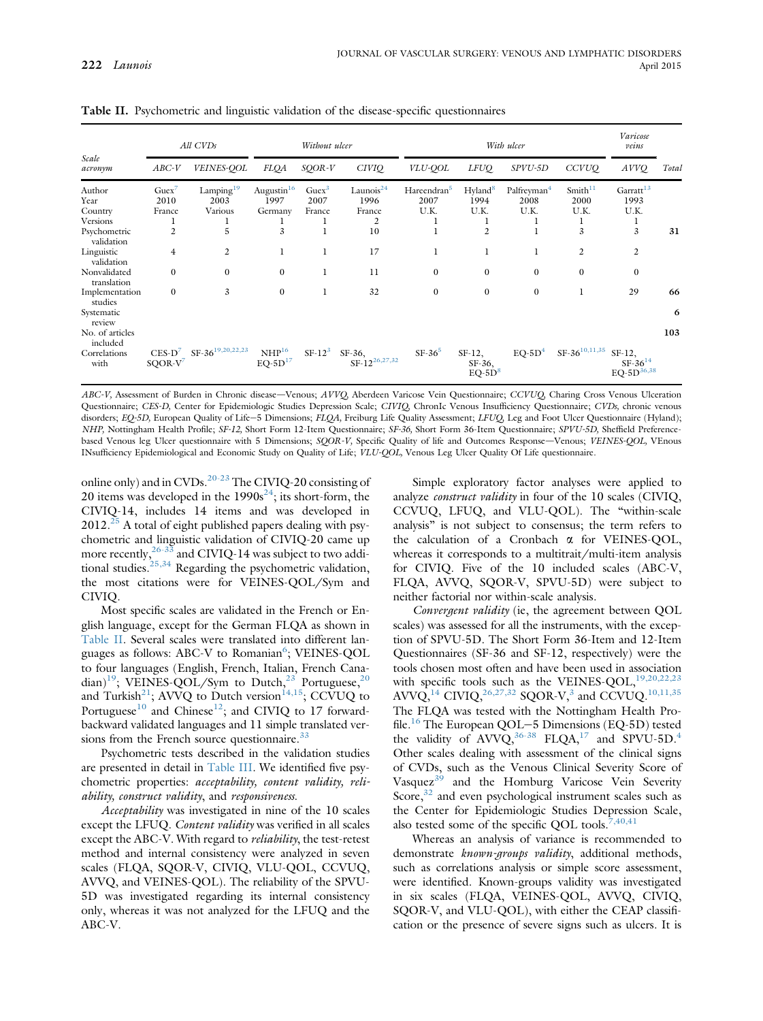|                                                                                                                         |                                                                            | All CVDs                                                                        |                                                                             | Without ulcer                             |                                                          |                                                                         |                                                                                 | With ulcer                                              |                                                                                         | Varicose<br>veins                                                                            |                |
|-------------------------------------------------------------------------------------------------------------------------|----------------------------------------------------------------------------|---------------------------------------------------------------------------------|-----------------------------------------------------------------------------|-------------------------------------------|----------------------------------------------------------|-------------------------------------------------------------------------|---------------------------------------------------------------------------------|---------------------------------------------------------|-----------------------------------------------------------------------------------------|----------------------------------------------------------------------------------------------|----------------|
| Scale<br>acronym                                                                                                        | $ABC-V$                                                                    | VEINES-QOL                                                                      | <b>FLQA</b>                                                                 | $SQOR-V$                                  | CIVIQ                                                    | VLU-QOL                                                                 | LFUQ                                                                            | SPVU-5D                                                 | CCVUQ                                                                                   | AVVQ                                                                                         | Total          |
| Author<br>Year<br>Country<br>Versions<br>Psychometric<br>validation<br>Linguistic<br>validation<br>Nonvalidated         | $Guez^7$<br>2010<br>France<br>$\overline{2}$<br>$\overline{4}$<br>$\Omega$ | Lamping <sup>19</sup><br>2003<br>Various<br>5<br>$\mathfrak{2}$<br>$\mathbf{0}$ | Augustin <sup>16</sup><br>1997<br>Germany<br>$\overline{3}$<br>$\mathbf{0}$ | $Guez^3$<br>2007<br>France<br>1<br>1<br>1 | Launois $^{24}$<br>1996<br>France<br>2<br>10<br>17<br>11 | Hareendran <sup>5</sup><br>2007<br>U.K.<br>$\perp$<br>1<br>$\mathbf{0}$ | Hyland <sup>8</sup><br>1994<br>U.K.<br>1<br>$\overline{2}$<br>1<br>$\mathbf{0}$ | Palfreyman <sup>4</sup><br>2008<br>U.K.<br>$\mathbf{0}$ | Smith <sup>11</sup><br>2000<br>U.K.<br>$\overline{3}$<br>$\overline{2}$<br>$\mathbf{0}$ | Garratt <sup>13</sup><br>1993<br>U.K.<br>$\overline{\mathbf{3}}$<br>$\mathbf{2}$<br>$\Omega$ | 31             |
| translation<br>Implementation<br>studies<br>Systematic<br>review<br>No. of articles<br>included<br>Correlations<br>with | $\mathbf{0}$<br>$CES-D^7$<br>$SQOR-V^7$                                    | 3<br>$SF-36^{19,20,22,23}$                                                      | $\mathbf{0}$<br>NHP <sup>16</sup><br>$EQ-5D$ <sup>17</sup>                  | 1<br>$SF-12^3$                            | 32<br>SF-36,<br>$SF-12^{26,27,32}$                       | $\mathbf{0}$<br>$SF-36^5$                                               | $\mathbf{0}$<br>$SF-12$ ,<br>SF-36,<br>$EQ-5D8$                                 | $\mathbf{0}$<br>$EQ-5D4$                                | 1<br>$SF-36^{10,11,35}$                                                                 | 29<br>$SF-12$ ,<br>$SF-36^{14}$<br>$EQ-5D^{36,38}$                                           | 66<br>6<br>103 |

<span id="page-3-0"></span>Table II. Psychometric and linguistic validation of the disease-specific questionnaires

ABC-V, Assessment of Burden in Chronic disease-Venous; AVVQ, Aberdeen Varicose Vein Questionnaire; CCVUQ, Charing Cross Venous Ulceration Questionnaire; CES-D, Center for Epidemiologic Studies Depression Scale; CIVIQ, ChronIc Venous Insufficiency Questionnaire; CVDs, chronic venous disorders; EQ-5D, European Quality of Life-5 Dimensions; FLQA, Freiburg Life Quality Assessment; LFUQ, Leg and Foot Ulcer Questionnaire (Hyland); NHP, Nottingham Health Profile; SF-12, Short Form 12-Item Questionnaire; SF-36, Short Form 36-Item Questionnaire; SPVU-5D, Sheffield Preferencebased Venous leg Ulcer questionnaire with 5 Dimensions; SQOR-V, Specific Quality of life and Outcomes Response-Venous; VEINES-QOL, VEnous INsufficiency Epidemiological and Economic Study on Quality of Life; VLU-QOL, Venous Leg Ulcer Quality Of Life questionnaire.

online only) and in CVDs.<sup>[20-23](#page-7-0)</sup> The CIVIQ-20 consisting of 20 items was developed in the  $1990s<sup>24</sup>$ ; its short-form, the CIVIQ-14, includes 14 items and was developed in  $2012<sup>25</sup>$  $2012<sup>25</sup>$  $2012<sup>25</sup>$  A total of eight published papers dealing with psychometric and linguistic validation of CIVIQ-20 came up more recently, $^{26-3\bar{3}}$  and CIVIQ-14 was subject to two addi-tional studies.<sup>[25,34](#page-7-0)</sup> Regarding the psychometric validation, the most citations were for VEINES-QOL/Sym and CIVIQ.

Most specific scales are validated in the French or English language, except for the German FLQA as shown in Table II. Several scales were translated into different lan-guages as follows: ABC-V to Romanian<sup>[6](#page-7-0)</sup>; VEINES-QOL to four languages (English, French, Italian, French Cana-dian)<sup>[19](#page-7-0)</sup>; VEINES-QOL/Sym to Dutch,<sup>23</sup> Portuguese,<sup>[20](#page-7-0)</sup> and Turkish<sup>21</sup>; AVVQ to Dutch version<sup>[14,15](#page-7-0)</sup>; CCVUQ to Portuguese<sup>[10](#page-7-0)</sup> and Chinese<sup>[12](#page-7-0)</sup>; and CIVIQ to 17 forwardbackward validated languages and 11 simple translated ver-sions from the French source questionnaire.<sup>[33](#page-7-0)</sup>

Psychometric tests described in the validation studies are presented in detail in [Table III.](#page-4-0) We identified five psychometric properties: acceptability, content validity, reliability, construct validity, and responsiveness.

Acceptability was investigated in nine of the 10 scales except the LFUQ. Content validity was verified in all scales except the ABC-V. With regard to *reliability*, the test-retest method and internal consistency were analyzed in seven scales (FLQA, SQOR-V, CIVIQ, VLU-QOL, CCVUQ, AVVQ, and VEINES-QOL). The reliability of the SPVU-5D was investigated regarding its internal consistency only, whereas it was not analyzed for the LFUQ and the ABC-V.

Simple exploratory factor analyses were applied to analyze construct validity in four of the 10 scales (CIVIQ, CCVUQ, LFUQ, and VLU-QOL). The "within-scale analysis" is not subject to consensus; the term refers to the calculation of a Cronbach  $\alpha$  for VEINES-QOL, whereas it corresponds to a multitrait/multi-item analysis for CIVIQ. Five of the 10 included scales (ABC-V, FLQA, AVVQ, SQOR-V, SPVU-5D) were subject to neither factorial nor within-scale analysis.

Convergent validity (ie, the agreement between QOL scales) was assessed for all the instruments, with the exception of SPVU-5D. The Short Form 36-Item and 12-Item Questionnaires (SF-36 and SF-12, respectively) were the tools chosen most often and have been used in association with specific tools such as the VEINES-QOL,  $19,20,22,23$ AVVQ,<sup>[14](#page-7-0)</sup> CIVIQ,<sup>[26,27,32](#page-7-0)</sup> SQOR-V,<sup>[3](#page-6-0)</sup> and CCVUQ.<sup>[10,11,35](#page-7-0)</sup> The FLQA was tested with the Nottingham Health Profile.<sup>16</sup> The European QOL-5 Dimensions (EQ-5D) tested the validity of  $AVVQ$ ,  $36-38$  FLQA,  $17$  and SPVU-5D.<sup>[4](#page-6-0)</sup> Other scales dealing with assessment of the clinical signs of CVDs, such as the Venous Clinical Severity Score of Vasquez $39$  and the Homburg Varicose Vein Severity Score, $32$  and even psychological instrument scales such as the Center for Epidemiologic Studies Depression Scale, also tested some of the specific QOL tools.<sup>[7,40,41](#page-7-0)</sup>

Whereas an analysis of variance is recommended to demonstrate known-groups validity, additional methods, such as correlations analysis or simple score assessment, were identified. Known-groups validity was investigated in six scales (FLQA, VEINES-QOL, AVVQ, CIVIQ, SQOR-V, and VLU-QOL), with either the CEAP classification or the presence of severe signs such as ulcers. It is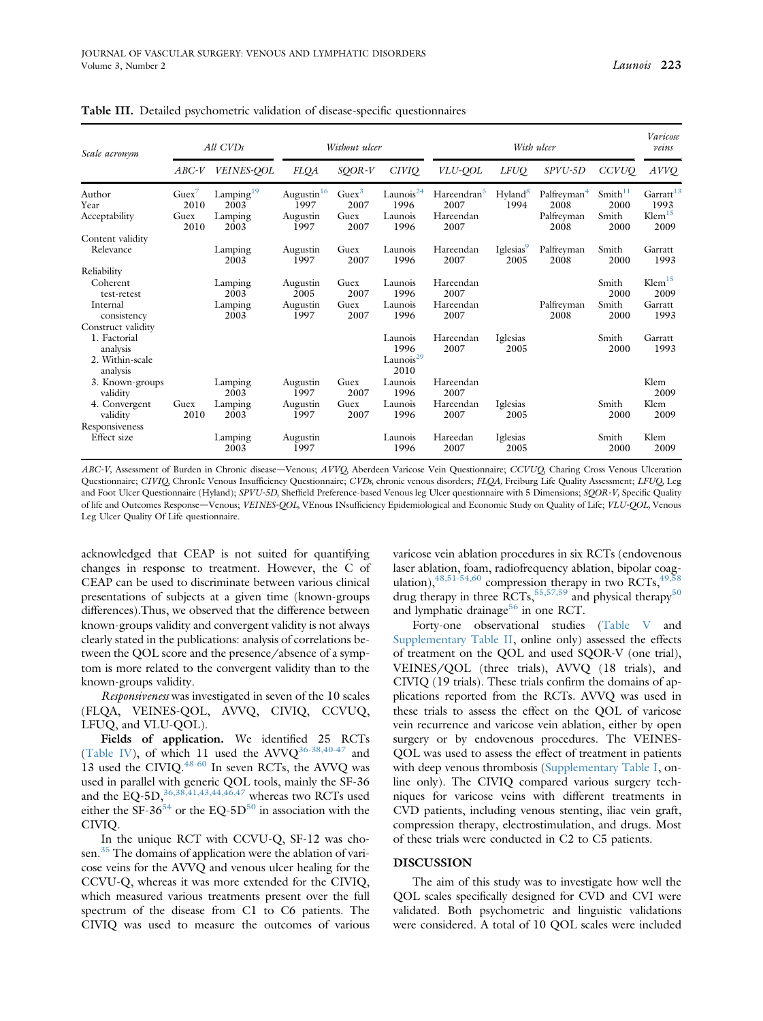| Scale acronym                                                                 | All CVDs                         |                                                  | Without ulcer                                      |                                           |                                                  | With ulcer                                           |                             |                                                       |                                              | Varicose<br>veins                                           |
|-------------------------------------------------------------------------------|----------------------------------|--------------------------------------------------|----------------------------------------------------|-------------------------------------------|--------------------------------------------------|------------------------------------------------------|-----------------------------|-------------------------------------------------------|----------------------------------------------|-------------------------------------------------------------|
|                                                                               | $ABC-V$                          | VEINES-OOL                                       | <b>FLQA</b>                                        | $SOOR - V$                                | CIVIO                                            | VLU-OOL                                              | LFUQ                        | SPVU-5D                                               | <b>CCVUQ</b>                                 | AVVO                                                        |
| Author<br>Year<br>Acceptability                                               | $Guez^7$<br>2010<br>Guex<br>2010 | Lamping <sup>19</sup><br>2003<br>Lamping<br>2003 | Augustin <sup>16</sup><br>1997<br>Augustin<br>1997 | Guez <sup>3</sup><br>2007<br>Guex<br>2007 | Launois <sup>24</sup><br>1996<br>Launois<br>1996 | Hareendran <sup>5</sup><br>2007<br>Hareendan<br>2007 | Hyland <sup>8</sup><br>1994 | Palfreyman <sup>4</sup><br>2008<br>Palfreyman<br>2008 | Smith <sup>11</sup><br>2000<br>Smith<br>2000 | Garratt <sup>13</sup><br>1993<br>Klem <sup>15</sup><br>2009 |
| Content validity<br>Relevance                                                 |                                  | Lamping<br>2003                                  | Augustin<br>1997                                   | Guex<br>2007                              | Launois<br>1996                                  | Hareendan<br>2007                                    | Iglesias<br>2005            | Palfreyman<br>2008                                    | Smith<br>2000                                | Garratt<br>1993                                             |
| Reliability<br>Coherent<br>test-retest<br>Internal<br>consistency             |                                  | Lamping<br>2003<br>Lamping<br>2003               | Augustin<br>2005<br>Augustin<br>1997               | Guex<br>2007<br>Guex<br>2007              | Launois<br>1996<br>Launois<br>1996               | Hareendan<br>2007<br>Hareendan<br>2007               |                             | Palfreyman<br>2008                                    | Smith<br>2000<br>Smith<br>2000               | $K$ lem $15$<br>2009<br>Garratt<br>1993                     |
| Construct validity<br>1. Factorial<br>analysis<br>2. Within-scale<br>analysis |                                  |                                                  |                                                    |                                           | Launois<br>1996<br>Launois <sup>29</sup><br>2010 | Hareendan<br>2007                                    | Iglesias<br>2005            |                                                       | Smith<br>2000                                | Garratt<br>1993                                             |
| 3. Known-groups<br>validity<br>4. Convergent<br>validity                      | Guex<br>2010                     | Lamping<br>2003<br>Lamping<br>2003               | Augustin<br>1997<br>Augustin<br>1997               | Guex<br>2007<br>Guex<br>2007              | Launois<br>1996<br>Launois<br>1996               | Hareendan<br>2007<br>Hareendan<br>2007               | Iglesias<br>2005            |                                                       | Smith<br>2000                                | Klem<br>2009<br>Klem<br>2009                                |
| Responsiveness<br>Effect size                                                 |                                  | Lamping<br>2003                                  | Augustin<br>1997                                   |                                           | Launois<br>1996                                  | Hareedan<br>2007                                     | Iglesias<br>2005            |                                                       | Smith<br>2000                                | Klem<br>2009                                                |

<span id="page-4-0"></span>Table III. Detailed psychometric validation of disease-specific questionnaires

ABC-V, Assessment of Burden in Chronic disease-Venous; AVVQ, Aberdeen Varicose Vein Questionnaire; CCVUQ, Charing Cross Venous Ulceration Questionnaire; CIVIQ, ChronIc Venous Insufficiency Questionnaire; CVDs, chronic venous disorders; FLQA, Freiburg Life Quality Assessment; LFUQ, Leg and Foot Ulcer Questionnaire (Hyland); SPVU-5D, Sheffield Preference-based Venous leg Ulcer questionnaire with 5 Dimensions; SQOR-V, Specific Quality of life and Outcomes Response-Venous; VEINES-QOL, VEnous INsufficiency Epidemiological and Economic Study on Quality of Life; VLU-QOL, Venous Leg Ulcer Quality Of Life questionnaire.

acknowledged that CEAP is not suited for quantifying changes in response to treatment. However, the C of CEAP can be used to discriminate between various clinical presentations of subjects at a given time (known-groups differences).Thus, we observed that the difference between known-groups validity and convergent validity is not always clearly stated in the publications: analysis of correlations between the QOL score and the presence/absence of a symptom is more related to the convergent validity than to the known-groups validity.

Responsiveness was investigated in seven of the 10 scales (FLQA, VEINES-QOL, AVVQ, CIVIQ, CCVUQ, LFUQ, and VLU-QOL).

Fields of application. We identified 25 RCTs ([Table IV](#page-5-0)), of which 11 used the AVVQ[36-38,40-47](#page-7-0) and 13 used the CIVIQ.<sup>[48-60](#page-8-0)</sup> In seven RCTs, the AVVQ was used in parallel with generic QOL tools, mainly the SF-36 and the EQ-5D,  $36,38,41,43,44,46,47$  whereas two RCTs used either the SF-36<sup>[54](#page-8-0)</sup> or the EQ-5D<sup>[50](#page-8-0)</sup> in association with the CIVIQ.

In the unique RCT with CCVU-Q, SF-12 was cho-sen.<sup>[35](#page-7-0)</sup> The domains of application were the ablation of varicose veins for the AVVQ and venous ulcer healing for the CCVU-Q, whereas it was more extended for the CIVIQ, which measured various treatments present over the full spectrum of the disease from C1 to C6 patients. The CIVIQ was used to measure the outcomes of various

varicose vein ablation procedures in six RCTs (endovenous laser ablation, foam, radiofrequency ablation, bipolar coagulation), $48,51-54,60$  compression therapy in two RCTs, $49,58$ drug therapy in three RCTs,  $55,57,59$  and physical therapy<sup>[50](#page-8-0)</sup> and lymphatic drainage<sup>[56](#page-8-0)</sup> in one RCT.

Forty-one observational studies ([Table V](#page-6-0) and Supplementary Table II, online only) assessed the effects of treatment on the QOL and used SQOR-V (one trial), VEINES/QOL (three trials), AVVQ (18 trials), and CIVIQ (19 trials). These trials confirm the domains of applications reported from the RCTs. AVVQ was used in these trials to assess the effect on the QOL of varicose vein recurrence and varicose vein ablation, either by open surgery or by endovenous procedures. The VEINES-QOL was used to assess the effect of treatment in patients with deep venous thrombosis (Supplementary Table I, online only). The CIVIQ compared various surgery techniques for varicose veins with different treatments in CVD patients, including venous stenting, iliac vein graft, compression therapy, electrostimulation, and drugs. Most of these trials were conducted in C2 to C5 patients.

#### DISCUSSION

The aim of this study was to investigate how well the QOL scales specifically designed for CVD and CVI were validated. Both psychometric and linguistic validations were considered. A total of 10 QOL scales were included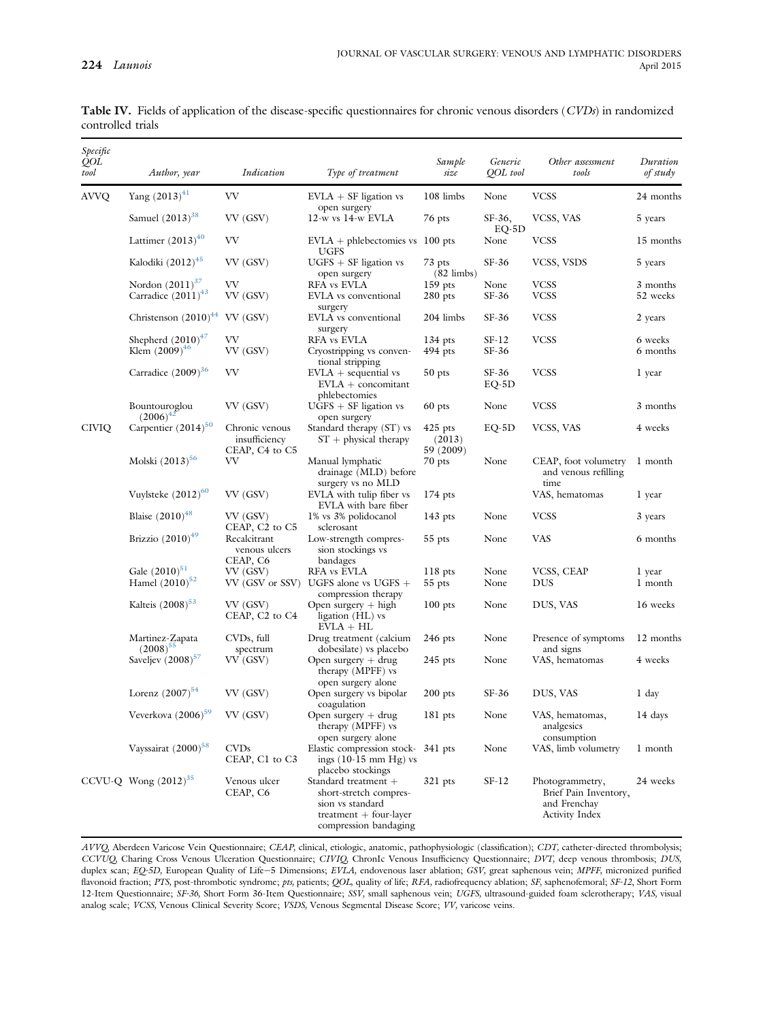<span id="page-5-0"></span>

|                   | Table IV. Fields of application of the disease-specific questionnaires for chronic venous disorders (CVDs) in randomized |  |
|-------------------|--------------------------------------------------------------------------------------------------------------------------|--|
| controlled trials |                                                                                                                          |  |

| Specific<br>QOL<br>tool | Author, year                     | Indication                                         | Type of treatment                                                                                                       | Sample<br>size                   | Generic<br>QOL tool  | Other assessment<br>tools                                                         | Duration<br>of study |
|-------------------------|----------------------------------|----------------------------------------------------|-------------------------------------------------------------------------------------------------------------------------|----------------------------------|----------------------|-----------------------------------------------------------------------------------|----------------------|
| <b>AVVQ</b>             | Yang $(2013)^{41}$               | VV                                                 | $EVALA + SF$ ligation vs<br>open surgery                                                                                | 108 limbs                        | None                 | <b>VCSS</b>                                                                       | 24 months            |
|                         | Samuel $(2013)^{38}$             | VV (GSV)                                           | 12-w vs 14-w EVLA                                                                                                       | 76 pts                           | $SF-36$ ,<br>$EQ-5D$ | VCSS, VAS                                                                         | 5 years              |
|                         | Lattimer $(2013)^{40}$           | VV                                                 | $EVALA$ + phlebectomies vs 100 pts<br><b>UGFS</b>                                                                       |                                  | None                 | <b>VCSS</b>                                                                       | 15 months            |
|                         | Kalodiki $(2012)^{45}$           | VV (GSV)                                           | $UGFS + SF$ ligation vs<br>open surgery                                                                                 | 73 pts<br>$(82 \text{ links})$   | SF-36                | VCSS, VSDS                                                                        | 5 years              |
|                         | Nordon $(2011)^{37}$             | VV                                                 | RFA vs EVLA                                                                                                             | $159$ pts                        | None                 | <b>VCSS</b>                                                                       | 3 months             |
|                         | Carradice $(2011)^{43}$          | VV (GSV)                                           | EVLA vs conventional<br>surgery                                                                                         | $280$ pts                        | $SF-36$              | <b>VCSS</b>                                                                       | 52 weeks             |
|                         | Christenson $(2010)^{44}$        | VV (GSV)                                           | EVLA vs conventional<br>surgery                                                                                         | 204 limbs                        | $SF-36$              | <b>VCSS</b>                                                                       | 2 years              |
|                         | Shepherd $(2010)^{47}$           | VV                                                 | RFA vs EVLA                                                                                                             | $134$ pts                        | $SF-12$              | <b>VCSS</b>                                                                       | 6 weeks              |
|                         | Klem $(2009)^{46}$               | VV (GSV)                                           | Cryostripping vs conven-<br>tional stripping                                                                            | $494$ pts                        | $SF-36$              |                                                                                   | 6 months             |
|                         | Carradice $(2009)^{36}$          | VV                                                 | $EVALA$ + sequential vs<br>$EVALA + \text{concomitant}$<br>phlebectomies                                                | 50 pts                           | $SF-36$<br>$EQ-5D$   | <b>VCSS</b>                                                                       | 1 year               |
|                         | Bountouroglou<br>$(2006)^{42}$   | VV (GSV)                                           | $UGFS + SF$ ligation vs<br>open surgery                                                                                 | 60 pts                           | None                 | <b>VCSS</b>                                                                       | 3 months             |
| <b>CIVIQ</b>            | Carpentier $(2014)^{50}$         | Chronic venous<br>insufficiency<br>CEAP, C4 to C5  | Standard therapy (ST) vs<br>$ST +$ physical therapy                                                                     | $425$ pts<br>(2013)<br>59 (2009) | $EQ-5D$              | VCSS, VAS                                                                         | 4 weeks              |
|                         | Molski (2013) <sup>56</sup>      | VV                                                 | Manual lymphatic<br>drainage (MLD) before<br>surgery vs no MLD                                                          | 70 pts                           | None                 | CEAP, foot volumetry<br>and venous refilling<br>time                              | 1 month              |
|                         | Vuylsteke $(2012)^{60}$          | VV (GSV)                                           | EVLA with tulip fiber vs<br>EVLA with bare fiber                                                                        | $174$ pts                        |                      | VAS, hematomas                                                                    | 1 year               |
|                         | Blaise (2010) <sup>48</sup>      | VV (GSV)<br>CEAP, C <sub>2</sub> to C <sub>5</sub> | 1% vs 3% polidocanol<br>sclerosant                                                                                      | $143$ pts                        | None                 | <b>VCSS</b>                                                                       | 3 years              |
|                         | Brizzio $(2010)^{49}$            | Recalcitrant<br>venous ulcers<br>CEAP, C6          | Low-strength compres-<br>sion stockings vs<br>bandages                                                                  | 55 pts                           | None                 | <b>VAS</b>                                                                        | 6 months             |
|                         | Gale $(2010)^{51}$               | VV (GSV)                                           | RFA vs EVLA                                                                                                             | $118$ pts                        | None                 | VCSS, CEAP                                                                        | 1 year               |
|                         | Hamel $(2010)^{52}$              |                                                    | VV (GSV or SSV) UGFS alone vs UGFS +<br>compression therapy                                                             | 55 pts                           | None                 | <b>DUS</b>                                                                        | 1 month              |
|                         | Kalteis $(2008)^{53}$            | VV (GSV)<br>CEAP, C <sub>2</sub> to C <sub>4</sub> | Open surgery $+$ high<br>ligation (HL) vs<br>$EVALA + HL$                                                               | $100$ pts                        | None                 | DUS, VAS                                                                          | 16 weeks             |
|                         | Martinez-Zapata<br>$(2008)^{55}$ | CVDs, full<br>spectrum                             | Drug treatment (calcium<br>dobesilate) vs placebo                                                                       | $246$ pts                        | None                 | Presence of symptoms<br>and signs                                                 | 12 months            |
|                         | Saveljev $(2008)^{57}$           | VV (GSV)                                           | Open surgery $+$ drug<br>therapy (MPFF) vs<br>open surgery alone                                                        | $245$ pts                        | None                 | VAS, hematomas                                                                    | 4 weeks              |
|                         | Lorenz $(2007)^{54}$             | VV (GSV)                                           | Open surgery vs bipolar<br>coagulation                                                                                  | $200$ pts                        | $SF-36$              | DUS, VAS                                                                          | 1 day                |
|                         | Veverkova (2006) <sup>59</sup>   | VV (GSV)                                           | Open surgery $+$ drug<br>therapy (MPFF) vs<br>open surgery alone                                                        | 181 pts                          | None                 | VAS, hematomas,<br>analgesics<br>consumption                                      | 14 days              |
|                         | Vayssairat (2000) <sup>58</sup>  | <b>CVDs</b><br>CEAP, C1 to C3                      | Elastic compression stock- 341 pts<br>ings $(10-15$ mm Hg) vs<br>placebo stockings                                      |                                  | None                 | VAS, limb volumetry                                                               | 1 month              |
|                         | CCVU-Q Wong $(2012)^{35}$        | Venous ulcer<br>CEAP, C6                           | Standard treatment +<br>short-stretch compres-<br>sion vs standard<br>$treatment + four-layer$<br>compression bandaging | 321 pts                          | $SF-12$              | Photogrammetry,<br>Brief Pain Inventory,<br>and Frenchay<br><b>Activity Index</b> | 24 weeks             |

AVVQ, Aberdeen Varicose Vein Questionnaire; CEAP, clinical, etiologic, anatomic, pathophysiologic (classification); CDT, catheter-directed thrombolysis; CCVUQ, Charing Cross Venous Ulceration Questionnaire; CIVIQ, ChronIc Venous Insufficiency Questionnaire; DVT, deep venous thrombosis; DUS, duplex scan; EQ-5D, European Quality of Life-5 Dimensions; EVLA, endovenous laser ablation; GSV, great saphenous vein; MPFF, micronized purified flavonoid fraction; PTS, post-thrombotic syndrome; pts, patients; QOL, quality of life; RFA, radiofrequency ablation; SF, saphenofemoral; SF-12, Short Form 12-Item Questionnaire; SF-36, Short Form 36-Item Questionnaire; SSV, small saphenous vein; UGFS, ultrasound-guided foam sclerotherapy; VAS, visual analog scale; VCSS, Venous Clinical Severity Score; VSDS, Venous Segmental Disease Score; VV, varicose veins.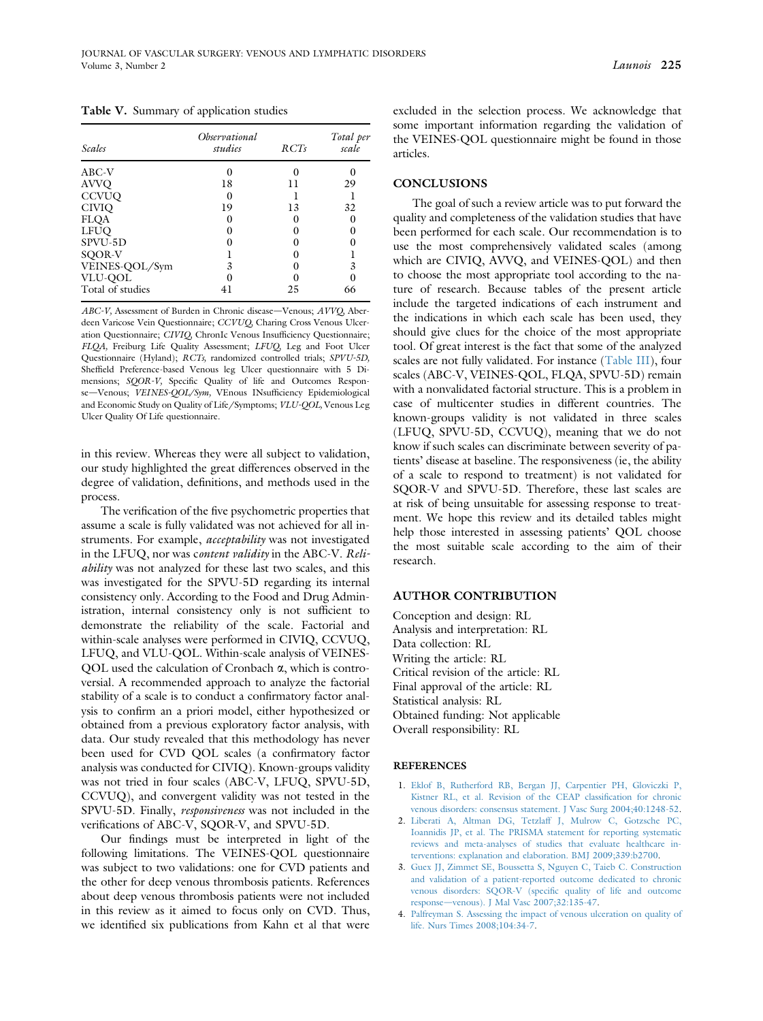<span id="page-6-0"></span>Table V. Summary of application studies

| <b>Scales</b>    | Observational<br>studies | RCTs | Total per<br>scale |
|------------------|--------------------------|------|--------------------|
| $ABC-V$          |                          |      |                    |
| <b>AVVQ</b>      | 18                       | П    | 29                 |
| <b>CCVUQ</b>     |                          |      |                    |
| <b>CIVIO</b>     | 19                       | 13   | 32                 |
| <b>FLQA</b>      |                          |      |                    |
| <b>LFUO</b>      |                          |      |                    |
| SPVU-5D          |                          |      |                    |
| SQOR-V           |                          |      |                    |
| VEINES-QOL/Sym   | 3                        |      | 3                  |
| VLU-QOL          |                          |      | 0                  |
| Total of studies |                          | 25   | 66                 |

ABC-V, Assessment of Burden in Chronic disease-Venous; AVVO, Aberdeen Varicose Vein Questionnaire; CCVUQ, Charing Cross Venous Ulceration Questionnaire; CIVIQ, ChronIc Venous Insufficiency Questionnaire; FLQA, Freiburg Life Quality Assessment; LFUQ, Leg and Foot Ulcer Questionnaire (Hyland); RCTs, randomized controlled trials; SPVU-5D, Sheffield Preference-based Venous leg Ulcer questionnaire with 5 Dimensions; SQOR-V, Specific Quality of life and Outcomes Response-Venous; VEINES-QOL/Sym, VEnous INsufficiency Epidemiological and Economic Study on Quality of Life/Symptoms; VLU-QOL, Venous Leg Ulcer Quality Of Life questionnaire.

in this review. Whereas they were all subject to validation, our study highlighted the great differences observed in the degree of validation, definitions, and methods used in the process.

The verification of the five psychometric properties that assume a scale is fully validated was not achieved for all instruments. For example, *acceptability* was not investigated in the LFUQ, nor was content validity in the ABC-V. Reliability was not analyzed for these last two scales, and this was investigated for the SPVU-5D regarding its internal consistency only. According to the Food and Drug Administration, internal consistency only is not sufficient to demonstrate the reliability of the scale. Factorial and within-scale analyses were performed in CIVIQ, CCVUQ, LFUQ, and VLU-QOL. Within-scale analysis of VEINES-QOL used the calculation of Cronbach  $\alpha$ , which is controversial. A recommended approach to analyze the factorial stability of a scale is to conduct a confirmatory factor analysis to confirm an a priori model, either hypothesized or obtained from a previous exploratory factor analysis, with data. Our study revealed that this methodology has never been used for CVD QOL scales (a confirmatory factor analysis was conducted for CIVIQ). Known-groups validity was not tried in four scales (ABC-V, LFUQ, SPVU-5D, CCVUQ), and convergent validity was not tested in the SPVU-5D. Finally, responsiveness was not included in the verifications of ABC-V, SQOR-V, and SPVU-5D.

Our findings must be interpreted in light of the following limitations. The VEINES-QOL questionnaire was subject to two validations: one for CVD patients and the other for deep venous thrombosis patients. References about deep venous thrombosis patients were not included in this review as it aimed to focus only on CVD. Thus, we identified six publications from Kahn et al that were

#### **CONCLUSIONS**

articles.

The goal of such a review article was to put forward the quality and completeness of the validation studies that have been performed for each scale. Our recommendation is to use the most comprehensively validated scales (among which are CIVIQ, AVVQ, and VEINES-QOL) and then to choose the most appropriate tool according to the nature of research. Because tables of the present article include the targeted indications of each instrument and the indications in which each scale has been used, they should give clues for the choice of the most appropriate tool. Of great interest is the fact that some of the analyzed scales are not fully validated. For instance ([Table III](#page-4-0)), four scales (ABC-V, VEINES-QOL, FLQA, SPVU-5D) remain with a nonvalidated factorial structure. This is a problem in case of multicenter studies in different countries. The known-groups validity is not validated in three scales (LFUQ, SPVU-5D, CCVUQ), meaning that we do not know if such scales can discriminate between severity of patients' disease at baseline. The responsiveness (ie, the ability of a scale to respond to treatment) is not validated for SQOR-V and SPVU-5D. Therefore, these last scales are at risk of being unsuitable for assessing response to treatment. We hope this review and its detailed tables might help those interested in assessing patients' QOL choose the most suitable scale according to the aim of their research.

## AUTHOR CONTRIBUTION

Conception and design: RL Analysis and interpretation: RL Data collection: RL Writing the article: RL Critical revision of the article: RL Final approval of the article: RL Statistical analysis: RL Obtained funding: Not applicable Overall responsibility: RL

### REFERENCES

- 1. [Eklof B, Rutherford RB, Bergan JJ, Carpentier PH, Gloviczki P,](http://refhub.elsevier.com/S2213-333X(14)00164-4/sref1) [Kistner RL, et al. Revision of the CEAP classi](http://refhub.elsevier.com/S2213-333X(14)00164-4/sref1)fication for chronic [venous disorders: consensus statement. J Vasc Surg 2004;40:1248-52.](http://refhub.elsevier.com/S2213-333X(14)00164-4/sref1)
- 2. [Liberati A, Altman DG, Tetzlaff J, Mulrow C, Gotzsche PC,](http://refhub.elsevier.com/S2213-333X(14)00164-4/sref2) [Ioannidis JP, et al. The PRISMA statement for reporting systematic](http://refhub.elsevier.com/S2213-333X(14)00164-4/sref2) [reviews and meta-analyses of studies that evaluate healthcare in](http://refhub.elsevier.com/S2213-333X(14)00164-4/sref2)[terventions: explanation and elaboration. BMJ 2009;339:b2700.](http://refhub.elsevier.com/S2213-333X(14)00164-4/sref2)
- 3. [Guex JJ, Zimmet SE, Boussetta S, Nguyen C, Taieb C. Construction](http://refhub.elsevier.com/S2213-333X(14)00164-4/sref3) [and validation of a patient-reported outcome dedicated to chronic](http://refhub.elsevier.com/S2213-333X(14)00164-4/sref3) [venous disorders: SQOR-V \(speci](http://refhub.elsevier.com/S2213-333X(14)00164-4/sref3)fic quality of life and outcome [response](http://refhub.elsevier.com/S2213-333X(14)00164-4/sref3)—[venous\). J Mal Vasc 2007;32:135-47.](http://refhub.elsevier.com/S2213-333X(14)00164-4/sref3)
- 4. [Palfreyman S. Assessing the impact of venous ulceration on quality of](http://refhub.elsevier.com/S2213-333X(14)00164-4/sref4) [life. Nurs Times 2008;104:34-7.](http://refhub.elsevier.com/S2213-333X(14)00164-4/sref4)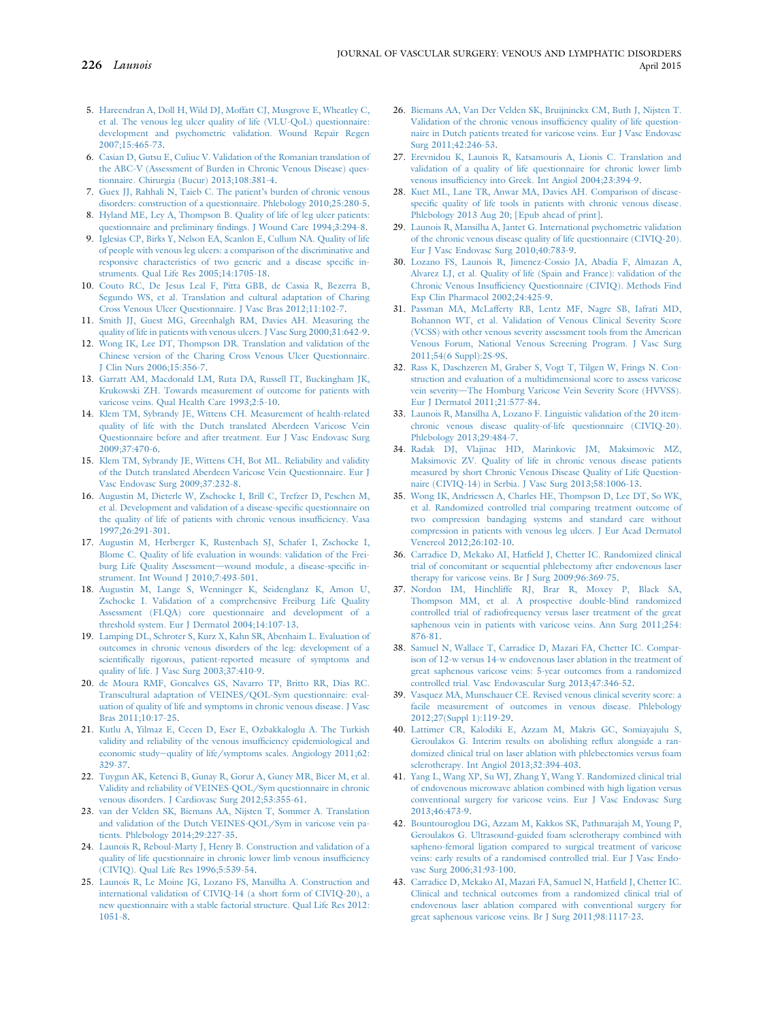- <span id="page-7-0"></span>5. [Hareendran A, Doll H, Wild DJ, Moffatt CJ, Musgrove E, Wheatley C,](http://refhub.elsevier.com/S2213-333X(14)00164-4/sref5) [et al. The venous leg ulcer quality of life \(VLU-QoL\) questionnaire:](http://refhub.elsevier.com/S2213-333X(14)00164-4/sref5) [development and psychometric validation. Wound Repair Regen](http://refhub.elsevier.com/S2213-333X(14)00164-4/sref5) [2007;15:465-73.](http://refhub.elsevier.com/S2213-333X(14)00164-4/sref5)
- 6. [Casian D, Gutsu E, Culiuc V. Validation of the Romanian translation of](http://refhub.elsevier.com/S2213-333X(14)00164-4/sref6) [the ABC-V \(Assessment of Burden in Chronic Venous Disease\) ques](http://refhub.elsevier.com/S2213-333X(14)00164-4/sref6)[tionnaire. Chirurgia \(Bucur\) 2013;108:381-4.](http://refhub.elsevier.com/S2213-333X(14)00164-4/sref6)
- 7. [Guex JJ, Rahhali N, Taieb C. The patient](http://refhub.elsevier.com/S2213-333X(14)00164-4/sref7)'s burden of chronic venous [disorders: construction of a questionnaire. Phlebology 2010;25:280-5.](http://refhub.elsevier.com/S2213-333X(14)00164-4/sref7)
- 8. [Hyland ME, Ley A, Thompson B. Quality of life of leg ulcer patients:](http://refhub.elsevier.com/S2213-333X(14)00164-4/sref8) questionnaire and preliminary fi[ndings. J Wound Care 1994;3:294-8](http://refhub.elsevier.com/S2213-333X(14)00164-4/sref8).
- 9. [Iglesias CP, Birks Y, Nelson EA, Scanlon E, Cullum NA. Quality of life](http://refhub.elsevier.com/S2213-333X(14)00164-4/sref9) [of people with venous leg ulcers: a comparison of the discriminative and](http://refhub.elsevier.com/S2213-333X(14)00164-4/sref9) [responsive characteristics of two generic and a disease speci](http://refhub.elsevier.com/S2213-333X(14)00164-4/sref9)fic in[struments. Qual Life Res 2005;14:1705-18.](http://refhub.elsevier.com/S2213-333X(14)00164-4/sref9)
- 10. [Couto RC, De Jesus Leal F, Pitta GBB, de Cassia R, Bezerra B,](http://refhub.elsevier.com/S2213-333X(14)00164-4/sref10) [Segundo WS, et al. Translation and cultural adaptation of Charing](http://refhub.elsevier.com/S2213-333X(14)00164-4/sref10) [Cross Venous Ulcer Questionnaire. J Vasc Bras 2012;11:102-7](http://refhub.elsevier.com/S2213-333X(14)00164-4/sref10).
- 11. [Smith JJ, Guest MG, Greenhalgh RM, Davies AH. Measuring the](http://refhub.elsevier.com/S2213-333X(14)00164-4/sref11) [quality of life in patients with venous ulcers. J Vasc Surg 2000;31:642-9.](http://refhub.elsevier.com/S2213-333X(14)00164-4/sref11)
- 12. [Wong IK, Lee DT, Thompson DR. Translation and validation of the](http://refhub.elsevier.com/S2213-333X(14)00164-4/sref12) [Chinese version of the Charing Cross Venous Ulcer Questionnaire.](http://refhub.elsevier.com/S2213-333X(14)00164-4/sref12) [J Clin Nurs 2006;15:356-7](http://refhub.elsevier.com/S2213-333X(14)00164-4/sref12).
- 13. [Garratt AM, Macdonald LM, Ruta DA, Russell IT, Buckingham JK,](http://refhub.elsevier.com/S2213-333X(14)00164-4/sref13) [Krukowski ZH. Towards measurement of outcome for patients with](http://refhub.elsevier.com/S2213-333X(14)00164-4/sref13) [varicose veins. Qual Health Care 1993;2:5-10.](http://refhub.elsevier.com/S2213-333X(14)00164-4/sref13)
- 14. [Klem TM, Sybrandy JE, Wittens CH. Measurement of health-related](http://refhub.elsevier.com/S2213-333X(14)00164-4/sref14) [quality of life with the Dutch translated Aberdeen Varicose Vein](http://refhub.elsevier.com/S2213-333X(14)00164-4/sref14) [Questionnaire before and after treatment. Eur J Vasc Endovasc Surg](http://refhub.elsevier.com/S2213-333X(14)00164-4/sref14) [2009;37:470-6.](http://refhub.elsevier.com/S2213-333X(14)00164-4/sref14)
- 15. [Klem TM, Sybrandy JE, Wittens CH, Bot ML. Reliability and validity](http://refhub.elsevier.com/S2213-333X(14)00164-4/sref15) [of the Dutch translated Aberdeen Varicose Vein Questionnaire. Eur J](http://refhub.elsevier.com/S2213-333X(14)00164-4/sref15) [Vasc Endovasc Surg 2009;37:232-8.](http://refhub.elsevier.com/S2213-333X(14)00164-4/sref15)
- 16. [Augustin M, Dieterle W, Zschocke I, Brill C, Trefzer D, Peschen M,](http://refhub.elsevier.com/S2213-333X(14)00164-4/sref16) [et al. Development and validation of a disease-speci](http://refhub.elsevier.com/S2213-333X(14)00164-4/sref16)fic questionnaire on [the quality of life of patients with chronic venous insuf](http://refhub.elsevier.com/S2213-333X(14)00164-4/sref16)ficiency. Vasa [1997;26:291-301](http://refhub.elsevier.com/S2213-333X(14)00164-4/sref16).
- 17. [Augustin M, Herberger K, Rustenbach SJ, Schafer I, Zschocke I,](http://refhub.elsevier.com/S2213-333X(14)00164-4/sref17) [Blome C. Quality of life evaluation in wounds: validation of the Frei](http://refhub.elsevier.com/S2213-333X(14)00164-4/sref17)[burg Life Quality Assessment](http://refhub.elsevier.com/S2213-333X(14)00164-4/sref17)-[wound module, a disease-speci](http://refhub.elsevier.com/S2213-333X(14)00164-4/sref17)fic in[strument. Int Wound J 2010;7:493-501.](http://refhub.elsevier.com/S2213-333X(14)00164-4/sref17)
- 18. [Augustin M, Lange S, Wenninger K, Seidenglanz K, Amon U,](http://refhub.elsevier.com/S2213-333X(14)00164-4/sref18) [Zschocke I. Validation of a comprehensive Freiburg Life Quality](http://refhub.elsevier.com/S2213-333X(14)00164-4/sref18) [Assessment \(FLQA\) core questionnaire and development of a](http://refhub.elsevier.com/S2213-333X(14)00164-4/sref18) [threshold system. Eur J Dermatol 2004;14:107-13](http://refhub.elsevier.com/S2213-333X(14)00164-4/sref18).
- 19. [Lamping DL, Schroter S, Kurz X, Kahn SR, Abenhaim L. Evaluation of](http://refhub.elsevier.com/S2213-333X(14)00164-4/sref19) [outcomes in chronic venous disorders of the leg: development of a](http://refhub.elsevier.com/S2213-333X(14)00164-4/sref19) scientifi[cally rigorous, patient-reported measure of symptoms and](http://refhub.elsevier.com/S2213-333X(14)00164-4/sref19) [quality of life. J Vasc Surg 2003;37:410-9.](http://refhub.elsevier.com/S2213-333X(14)00164-4/sref19)
- 20. [de Moura RMF, Goncalves GS, Navarro TP, Britto RR, Dias RC.](http://refhub.elsevier.com/S2213-333X(14)00164-4/sref20) [Transcultural adaptation of VEINES/QOL-Sym questionnaire: eval](http://refhub.elsevier.com/S2213-333X(14)00164-4/sref20)[uation of quality of life and symptoms in chronic venous disease. J Vasc](http://refhub.elsevier.com/S2213-333X(14)00164-4/sref20) [Bras 2011;10:17-25.](http://refhub.elsevier.com/S2213-333X(14)00164-4/sref20)
- 21. [Kutlu A, Yilmaz E, Cecen D, Eser E, Ozbakkaloglu A. The Turkish](http://refhub.elsevier.com/S2213-333X(14)00164-4/sref21) [validity and reliability of the venous insuf](http://refhub.elsevier.com/S2213-333X(14)00164-4/sref21)ficiency epidemiological and [economic study](http://refhub.elsevier.com/S2213-333X(14)00164-4/sref21)-[quality of life/symptoms scales. Angiology 2011;62:](http://refhub.elsevier.com/S2213-333X(14)00164-4/sref21) [329-37.](http://refhub.elsevier.com/S2213-333X(14)00164-4/sref21)
- 22. [Tuygun AK, Ketenci B, Gunay R, Gorur A, Guney MR, Bicer M, et al.](http://refhub.elsevier.com/S2213-333X(14)00164-4/sref22) [Validity and reliability of VEINES-QOL/Sym questionnaire in chronic](http://refhub.elsevier.com/S2213-333X(14)00164-4/sref22) [venous disorders. J Cardiovasc Surg 2012;53:355-61](http://refhub.elsevier.com/S2213-333X(14)00164-4/sref22).
- 23. [van der Velden SK, Biemans AA, Nijsten T, Sommer A. Translation](http://refhub.elsevier.com/S2213-333X(14)00164-4/sref23) [and validation of the Dutch VEINES-QOL/Sym in varicose vein pa](http://refhub.elsevier.com/S2213-333X(14)00164-4/sref23)[tients. Phlebology 2014;29:227-35](http://refhub.elsevier.com/S2213-333X(14)00164-4/sref23).
- 24. [Launois R, Reboul-Marty J, Henry B. Construction and validation of a](http://refhub.elsevier.com/S2213-333X(14)00164-4/sref24) [quality of life questionnaire in chronic lower limb venous insuf](http://refhub.elsevier.com/S2213-333X(14)00164-4/sref24)ficiency [\(CIVIQ\). Qual Life Res 1996;5:539-54](http://refhub.elsevier.com/S2213-333X(14)00164-4/sref24).
- 25. [Launois R, Le Moine JG, Lozano FS, Mansilha A. Construction and](http://refhub.elsevier.com/S2213-333X(14)00164-4/sref25) [international validation of CIVIQ-14 \(a short form of CIVIQ-20\), a](http://refhub.elsevier.com/S2213-333X(14)00164-4/sref25) [new questionnaire with a stable factorial structure. Qual Life Res 2012:](http://refhub.elsevier.com/S2213-333X(14)00164-4/sref25) [1051-8.](http://refhub.elsevier.com/S2213-333X(14)00164-4/sref25)
- 26. [Biemans AA, Van Der Velden SK, Bruijninckx CM, Buth J, Nijsten T.](http://refhub.elsevier.com/S2213-333X(14)00164-4/sref26) [Validation of the chronic venous insuf](http://refhub.elsevier.com/S2213-333X(14)00164-4/sref26)ficiency quality of life question[naire in Dutch patients treated for varicose veins. Eur J Vasc Endovasc](http://refhub.elsevier.com/S2213-333X(14)00164-4/sref26) [Surg 2011;42:246-53.](http://refhub.elsevier.com/S2213-333X(14)00164-4/sref26)
- 27. [Erevnidou K, Launois R, Katsamouris A, Lionis C. Translation and](http://refhub.elsevier.com/S2213-333X(14)00164-4/sref27) [validation of a quality of life questionnaire for chronic lower limb](http://refhub.elsevier.com/S2213-333X(14)00164-4/sref27) venous insuffi[ciency into Greek. Int Angiol 2004;23:394-9](http://refhub.elsevier.com/S2213-333X(14)00164-4/sref27).
- 28. [Kuet ML, Lane TR, Anwar MA, Davies AH. Comparison of disease](http://refhub.elsevier.com/S2213-333X(14)00164-4/sref28)specifi[c quality of life tools in patients with chronic venous disease.](http://refhub.elsevier.com/S2213-333X(14)00164-4/sref28) [Phlebology 2013 Aug 20; \[Epub ahead of print\]](http://refhub.elsevier.com/S2213-333X(14)00164-4/sref28).
- 29. [Launois R, Mansilha A, Jantet G. International psychometric validation](http://refhub.elsevier.com/S2213-333X(14)00164-4/sref29) [of the chronic venous disease quality of life questionnaire \(CIVIQ-20\).](http://refhub.elsevier.com/S2213-333X(14)00164-4/sref29) [Eur J Vasc Endovasc Surg 2010;40:783-9](http://refhub.elsevier.com/S2213-333X(14)00164-4/sref29).
- 30. [Lozano FS, Launois R, Jimenez-Cossio JA, Abadia F, Almazan A,](http://refhub.elsevier.com/S2213-333X(14)00164-4/sref30) [Alvarez LJ, et al. Quality of life \(Spain and France\): validation of the](http://refhub.elsevier.com/S2213-333X(14)00164-4/sref30) Chronic Venous Insuffi[ciency Questionnaire \(CIVIQ\). Methods Find](http://refhub.elsevier.com/S2213-333X(14)00164-4/sref30) [Exp Clin Pharmacol 2002;24:425-9](http://refhub.elsevier.com/S2213-333X(14)00164-4/sref30).
- 31. [Passman MA, McLafferty RB, Lentz MF, Nagre SB, Iafrati MD,](http://refhub.elsevier.com/S2213-333X(14)00164-4/sref31) [Bohannon WT, et al. Validation of Venous Clinical Severity Score](http://refhub.elsevier.com/S2213-333X(14)00164-4/sref31) [\(VCSS\) with other venous severity assessment tools from the American](http://refhub.elsevier.com/S2213-333X(14)00164-4/sref31) [Venous Forum, National Venous Screening Program. J Vasc Surg](http://refhub.elsevier.com/S2213-333X(14)00164-4/sref31) [2011;54\(6 Suppl\):2S-9S](http://refhub.elsevier.com/S2213-333X(14)00164-4/sref31).
- 32. [Rass K, Daschzeren M, Graber S, Vogt T, Tilgen W, Frings N. Con](http://refhub.elsevier.com/S2213-333X(14)00164-4/sref32)[struction and evaluation of a multidimensional score to assess varicose](http://refhub.elsevier.com/S2213-333X(14)00164-4/sref32) [vein severity](http://refhub.elsevier.com/S2213-333X(14)00164-4/sref32)-[The Homburg Varicose Vein Severity Score \(HVVSS\).](http://refhub.elsevier.com/S2213-333X(14)00164-4/sref32) [Eur J Dermatol 2011;21:577-84.](http://refhub.elsevier.com/S2213-333X(14)00164-4/sref32)
- 33. [Launois R, Mansilha A, Lozano F. Linguistic validation of the 20 item](http://refhub.elsevier.com/S2213-333X(14)00164-4/sref33)[chronic venous disease quality-of-life questionnaire \(CIVIQ-20\).](http://refhub.elsevier.com/S2213-333X(14)00164-4/sref33) [Phlebology 2013;29:484-7](http://refhub.elsevier.com/S2213-333X(14)00164-4/sref33).
- 34. [Radak DJ, Vlajinac HD, Marinkovic JM, Maksimovic MZ,](http://refhub.elsevier.com/S2213-333X(14)00164-4/sref34) [Maksimovic ZV. Quality of life in chronic venous disease patients](http://refhub.elsevier.com/S2213-333X(14)00164-4/sref34) [measured by short Chronic Venous Disease Quality of Life Question](http://refhub.elsevier.com/S2213-333X(14)00164-4/sref34)[naire \(CIVIQ-14\) in Serbia. J Vasc Surg 2013;58:1006-13](http://refhub.elsevier.com/S2213-333X(14)00164-4/sref34).
- 35. [Wong IK, Andriessen A, Charles HE, Thompson D, Lee DT, So WK,](http://refhub.elsevier.com/S2213-333X(14)00164-4/sref35) [et al. Randomized controlled trial comparing treatment outcome of](http://refhub.elsevier.com/S2213-333X(14)00164-4/sref35) [two compression bandaging systems and standard care without](http://refhub.elsevier.com/S2213-333X(14)00164-4/sref35) [compression in patients with venous leg ulcers. J Eur Acad Dermatol](http://refhub.elsevier.com/S2213-333X(14)00164-4/sref35) [Venereol 2012;26:102-10](http://refhub.elsevier.com/S2213-333X(14)00164-4/sref35).
- 36. Carradice D, Mekako AI, Hatfi[eld J, Chetter IC. Randomized clinical](http://refhub.elsevier.com/S2213-333X(14)00164-4/sref36) [trial of concomitant or sequential phlebectomy after endovenous laser](http://refhub.elsevier.com/S2213-333X(14)00164-4/sref36) [therapy for varicose veins. Br J Surg 2009;96:369-75](http://refhub.elsevier.com/S2213-333X(14)00164-4/sref36).
- 37. [Nordon IM, Hinchliffe RJ, Brar R, Moxey P, Black SA,](http://refhub.elsevier.com/S2213-333X(14)00164-4/sref37) [Thompson MM, et al. A prospective double-blind randomized](http://refhub.elsevier.com/S2213-333X(14)00164-4/sref37) [controlled trial of radiofrequency versus laser treatment of the great](http://refhub.elsevier.com/S2213-333X(14)00164-4/sref37) [saphenous vein in patients with varicose veins. Ann Surg 2011;254:](http://refhub.elsevier.com/S2213-333X(14)00164-4/sref37) [876-81.](http://refhub.elsevier.com/S2213-333X(14)00164-4/sref37)
- 38. [Samuel N, Wallace T, Carradice D, Mazari FA, Chetter IC. Compar](http://refhub.elsevier.com/S2213-333X(14)00164-4/sref38)[ison of 12-w versus 14-w endovenous laser ablation in the treatment of](http://refhub.elsevier.com/S2213-333X(14)00164-4/sref38) [great saphenous varicose veins: 5-year outcomes from a randomized](http://refhub.elsevier.com/S2213-333X(14)00164-4/sref38) [controlled trial. Vasc Endovascular Surg 2013;47:346-52.](http://refhub.elsevier.com/S2213-333X(14)00164-4/sref38)
- 39. [Vasquez MA, Munschauer CE. Revised venous clinical severity score: a](http://refhub.elsevier.com/S2213-333X(14)00164-4/sref39) [facile measurement of outcomes in venous disease. Phlebology](http://refhub.elsevier.com/S2213-333X(14)00164-4/sref39) [2012;27\(Suppl 1\):119-29.](http://refhub.elsevier.com/S2213-333X(14)00164-4/sref39)
- 40. [Lattimer CR, Kalodiki E, Azzam M, Makris GC, Somiayajulu S,](http://refhub.elsevier.com/S2213-333X(14)00164-4/sref40) [Geroulakos G. Interim results on abolishing re](http://refhub.elsevier.com/S2213-333X(14)00164-4/sref40)flux alongside a ran[domized clinical trial on laser ablation with phlebectomies versus foam](http://refhub.elsevier.com/S2213-333X(14)00164-4/sref40) [sclerotherapy. Int Angiol 2013;32:394-403.](http://refhub.elsevier.com/S2213-333X(14)00164-4/sref40)
- 41. [Yang L, Wang XP, Su WJ, Zhang Y, Wang Y. Randomized clinical trial](http://refhub.elsevier.com/S2213-333X(14)00164-4/sref41) [of endovenous microwave ablation combined with high ligation versus](http://refhub.elsevier.com/S2213-333X(14)00164-4/sref41) [conventional surgery for varicose veins. Eur J Vasc Endovasc Surg](http://refhub.elsevier.com/S2213-333X(14)00164-4/sref41) [2013;46:473-9.](http://refhub.elsevier.com/S2213-333X(14)00164-4/sref41)
- 42. [Bountouroglou DG, Azzam M, Kakkos SK, Pathmarajah M, Young P,](http://refhub.elsevier.com/S2213-333X(14)00164-4/sref42) [Geroulakos G. Ultrasound-guided foam sclerotherapy combined with](http://refhub.elsevier.com/S2213-333X(14)00164-4/sref42) [sapheno-femoral ligation compared to surgical treatment of varicose](http://refhub.elsevier.com/S2213-333X(14)00164-4/sref42) [veins: early results of a randomised controlled trial. Eur J Vasc Endo](http://refhub.elsevier.com/S2213-333X(14)00164-4/sref42)[vasc Surg 2006;31:93-100.](http://refhub.elsevier.com/S2213-333X(14)00164-4/sref42)
- 43. [Carradice D, Mekako AI, Mazari FA, Samuel N, Hat](http://refhub.elsevier.com/S2213-333X(14)00164-4/sref43)field J, Chetter IC. [Clinical and technical outcomes from a randomized clinical trial of](http://refhub.elsevier.com/S2213-333X(14)00164-4/sref43) [endovenous laser ablation compared with conventional surgery for](http://refhub.elsevier.com/S2213-333X(14)00164-4/sref43) [great saphenous varicose veins. Br J Surg 2011;98:1117-23.](http://refhub.elsevier.com/S2213-333X(14)00164-4/sref43)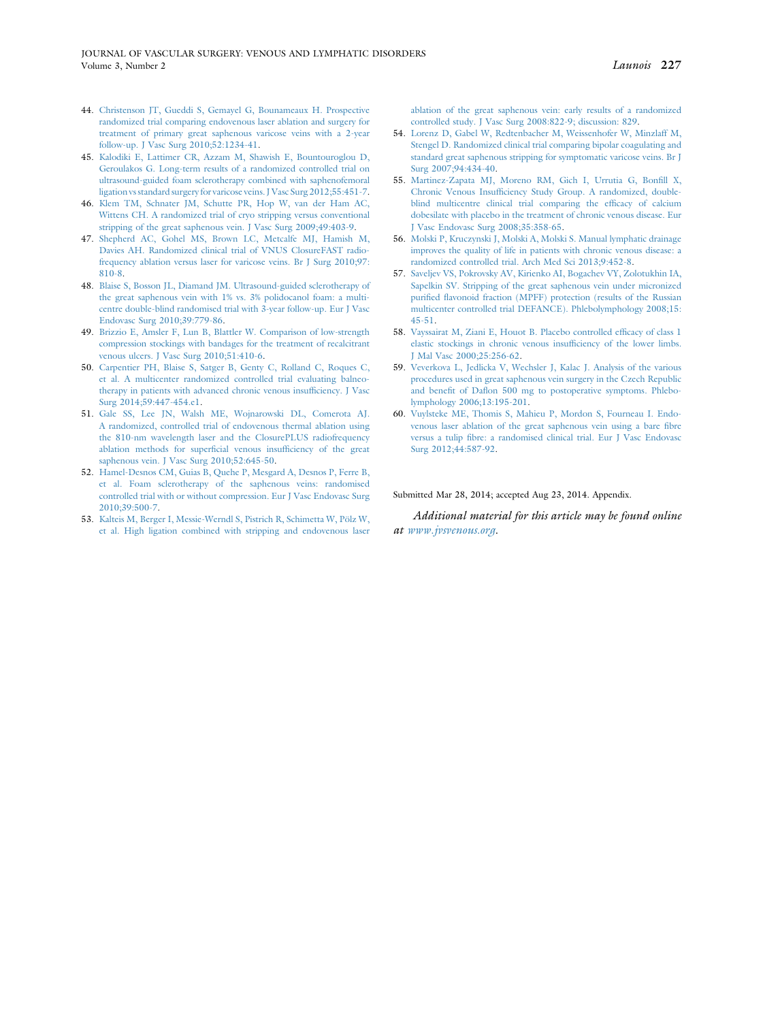- <span id="page-8-0"></span>44. [Christenson JT, Gueddi S, Gemayel G, Bounameaux H. Prospective](http://refhub.elsevier.com/S2213-333X(14)00164-4/sref44) [randomized trial comparing endovenous laser ablation and surgery for](http://refhub.elsevier.com/S2213-333X(14)00164-4/sref44) [treatment of primary great saphenous varicose veins with a 2-year](http://refhub.elsevier.com/S2213-333X(14)00164-4/sref44) [follow-up. J Vasc Surg 2010;52:1234-41.](http://refhub.elsevier.com/S2213-333X(14)00164-4/sref44)
- 45. [Kalodiki E, Lattimer CR, Azzam M, Shawish E, Bountouroglou D,](http://refhub.elsevier.com/S2213-333X(14)00164-4/sref45) [Geroulakos G. Long-term results of a randomized controlled trial on](http://refhub.elsevier.com/S2213-333X(14)00164-4/sref45) [ultrasound-guided foam sclerotherapy combined with saphenofemoral](http://refhub.elsevier.com/S2213-333X(14)00164-4/sref45) [ligation vs standard surgery for varicose veins. J Vasc Surg 2012;55:451-7.](http://refhub.elsevier.com/S2213-333X(14)00164-4/sref45)
- 46. [Klem TM, Schnater JM, Schutte PR, Hop W, van der Ham AC,](http://refhub.elsevier.com/S2213-333X(14)00164-4/sref46) [Wittens CH. A randomized trial of cryo stripping versus conventional](http://refhub.elsevier.com/S2213-333X(14)00164-4/sref46) [stripping of the great saphenous vein. J Vasc Surg 2009;49:403-9.](http://refhub.elsevier.com/S2213-333X(14)00164-4/sref46)
- 47. [Shepherd AC, Gohel MS, Brown LC, Metcalfe MJ, Hamish M,](http://refhub.elsevier.com/S2213-333X(14)00164-4/sref47) [Davies AH. Randomized clinical trial of VNUS ClosureFAST radio](http://refhub.elsevier.com/S2213-333X(14)00164-4/sref47)[frequency ablation versus laser for varicose veins. Br J Surg 2010;97:](http://refhub.elsevier.com/S2213-333X(14)00164-4/sref47) [810-8.](http://refhub.elsevier.com/S2213-333X(14)00164-4/sref47)
- 48. [Blaise S, Bosson JL, Diamand JM. Ultrasound-guided sclerotherapy of](http://refhub.elsevier.com/S2213-333X(14)00164-4/sref48) [the great saphenous vein with 1% vs. 3% polidocanol foam: a multi](http://refhub.elsevier.com/S2213-333X(14)00164-4/sref48)[centre double-blind randomised trial with 3-year follow-up. Eur J Vasc](http://refhub.elsevier.com/S2213-333X(14)00164-4/sref48) [Endovasc Surg 2010;39:779-86.](http://refhub.elsevier.com/S2213-333X(14)00164-4/sref48)
- 49. [Brizzio E, Amsler F, Lun B, Blattler W. Comparison of low-strength](http://refhub.elsevier.com/S2213-333X(14)00164-4/sref49) [compression stockings with bandages for the treatment of recalcitrant](http://refhub.elsevier.com/S2213-333X(14)00164-4/sref49) [venous ulcers. J Vasc Surg 2010;51:410-6](http://refhub.elsevier.com/S2213-333X(14)00164-4/sref49).
- 50. [Carpentier PH, Blaise S, Satger B, Genty C, Rolland C, Roques C,](http://refhub.elsevier.com/S2213-333X(14)00164-4/sref50) [et al. A multicenter randomized controlled trial evaluating balneo](http://refhub.elsevier.com/S2213-333X(14)00164-4/sref50)[therapy in patients with advanced chronic venous insuf](http://refhub.elsevier.com/S2213-333X(14)00164-4/sref50)ficiency. J Vasc [Surg 2014;59:447-454.e1](http://refhub.elsevier.com/S2213-333X(14)00164-4/sref50).
- 51. [Gale SS, Lee JN, Walsh ME, Wojnarowski DL, Comerota AJ.](http://refhub.elsevier.com/S2213-333X(14)00164-4/sref51) [A randomized, controlled trial of endovenous thermal ablation using](http://refhub.elsevier.com/S2213-333X(14)00164-4/sref51) [the 810-nm wavelength laser and the ClosurePLUS radiofrequency](http://refhub.elsevier.com/S2213-333X(14)00164-4/sref51) [ablation methods for super](http://refhub.elsevier.com/S2213-333X(14)00164-4/sref51)ficial venous insufficiency of the great [saphenous vein. J Vasc Surg 2010;52:645-50](http://refhub.elsevier.com/S2213-333X(14)00164-4/sref51).
- 52. [Hamel-Desnos CM, Guias B, Quehe P, Mesgard A, Desnos P, Ferre B,](http://refhub.elsevier.com/S2213-333X(14)00164-4/sref52) [et al. Foam sclerotherapy of the saphenous veins: randomised](http://refhub.elsevier.com/S2213-333X(14)00164-4/sref52) [controlled trial with or without compression. Eur J Vasc Endovasc Surg](http://refhub.elsevier.com/S2213-333X(14)00164-4/sref52) [2010;39:500-7.](http://refhub.elsevier.com/S2213-333X(14)00164-4/sref52)
- 53. [Kalteis M, Berger I, Messie-Werndl S, Pistrich R, Schimetta W, Pölz W,](http://refhub.elsevier.com/S2213-333X(14)00164-4/sref53) [et al. High ligation combined with stripping and endovenous laser](http://refhub.elsevier.com/S2213-333X(14)00164-4/sref53)

[ablation of the great saphenous vein: early results of a randomized](http://refhub.elsevier.com/S2213-333X(14)00164-4/sref53) [controlled study. J Vasc Surg 2008:822-9; discussion: 829.](http://refhub.elsevier.com/S2213-333X(14)00164-4/sref53)

- 54. [Lorenz D, Gabel W, Redtenbacher M, Weissenhofer W, Minzlaff M,](http://refhub.elsevier.com/S2213-333X(14)00164-4/sref54) [Stengel D. Randomized clinical trial comparing bipolar coagulating and](http://refhub.elsevier.com/S2213-333X(14)00164-4/sref54) [standard great saphenous stripping for symptomatic varicose veins. Br J](http://refhub.elsevier.com/S2213-333X(14)00164-4/sref54) [Surg 2007;94:434-40.](http://refhub.elsevier.com/S2213-333X(14)00164-4/sref54)
- 55. [Martinez-Zapata MJ, Moreno RM, Gich I, Urrutia G, Bon](http://refhub.elsevier.com/S2213-333X(14)00164-4/sref55)fill X, Chronic Venous Insuffi[ciency Study Group. A randomized, double](http://refhub.elsevier.com/S2213-333X(14)00164-4/sref55)[blind multicentre clinical trial comparing the ef](http://refhub.elsevier.com/S2213-333X(14)00164-4/sref55)ficacy of calcium [dobesilate with placebo in the treatment of chronic venous disease. Eur](http://refhub.elsevier.com/S2213-333X(14)00164-4/sref55) [J Vasc Endovasc Surg 2008;35:358-65.](http://refhub.elsevier.com/S2213-333X(14)00164-4/sref55)
- 56. [Molski P, Kruczynski J, Molski A, Molski S. Manual lymphatic drainage](http://refhub.elsevier.com/S2213-333X(14)00164-4/sref56) [improves the quality of life in patients with chronic venous disease: a](http://refhub.elsevier.com/S2213-333X(14)00164-4/sref56) [randomized controlled trial. Arch Med Sci 2013;9:452-8](http://refhub.elsevier.com/S2213-333X(14)00164-4/sref56).
- 57. [Saveljev VS, Pokrovsky AV, Kirienko AI, Bogachev VY, Zolotukhin IA,](http://refhub.elsevier.com/S2213-333X(14)00164-4/sref57) [Sapelkin SV. Stripping of the great saphenous vein under micronized](http://refhub.elsevier.com/S2213-333X(14)00164-4/sref57) purified fl[avonoid fraction \(MPFF\) protection \(results of the Russian](http://refhub.elsevier.com/S2213-333X(14)00164-4/sref57) [multicenter controlled trial DEFANCE\). Phlebolymphology 2008;15:](http://refhub.elsevier.com/S2213-333X(14)00164-4/sref57) [45-51.](http://refhub.elsevier.com/S2213-333X(14)00164-4/sref57)
- 58. [Vayssairat M, Ziani E, Houot B. Placebo controlled ef](http://refhub.elsevier.com/S2213-333X(14)00164-4/sref58)ficacy of class 1 [elastic stockings in chronic venous insuf](http://refhub.elsevier.com/S2213-333X(14)00164-4/sref58)ficiency of the lower limbs. [J Mal Vasc 2000;25:256-62](http://refhub.elsevier.com/S2213-333X(14)00164-4/sref58).
- 59. [Veverkova L, Jedlicka V, Wechsler J, Kalac J. Analysis of the various](http://refhub.elsevier.com/S2213-333X(14)00164-4/sref59) [procedures used in great saphenous vein surgery in the Czech Republic](http://refhub.elsevier.com/S2213-333X(14)00164-4/sref59) and benefit of Dafl[on 500 mg to postoperative symptoms. Phlebo](http://refhub.elsevier.com/S2213-333X(14)00164-4/sref59)[lymphology 2006;13:195-201.](http://refhub.elsevier.com/S2213-333X(14)00164-4/sref59)
- 60. [Vuylsteke ME, Thomis S, Mahieu P, Mordon S, Fourneau I. Endo](http://refhub.elsevier.com/S2213-333X(14)00164-4/sref60)[venous laser ablation of the great saphenous vein using a bare](http://refhub.elsevier.com/S2213-333X(14)00164-4/sref60) fibre versus a tulip fi[bre: a randomised clinical trial. Eur J Vasc Endovasc](http://refhub.elsevier.com/S2213-333X(14)00164-4/sref60) [Surg 2012;44:587-92.](http://refhub.elsevier.com/S2213-333X(14)00164-4/sref60)

Submitted Mar 28, 2014; accepted Aug 23, 2014. Appendix.

Additional material for this article may be found online at [www.jvsvenous.org.](http://www.jvsvenous.org)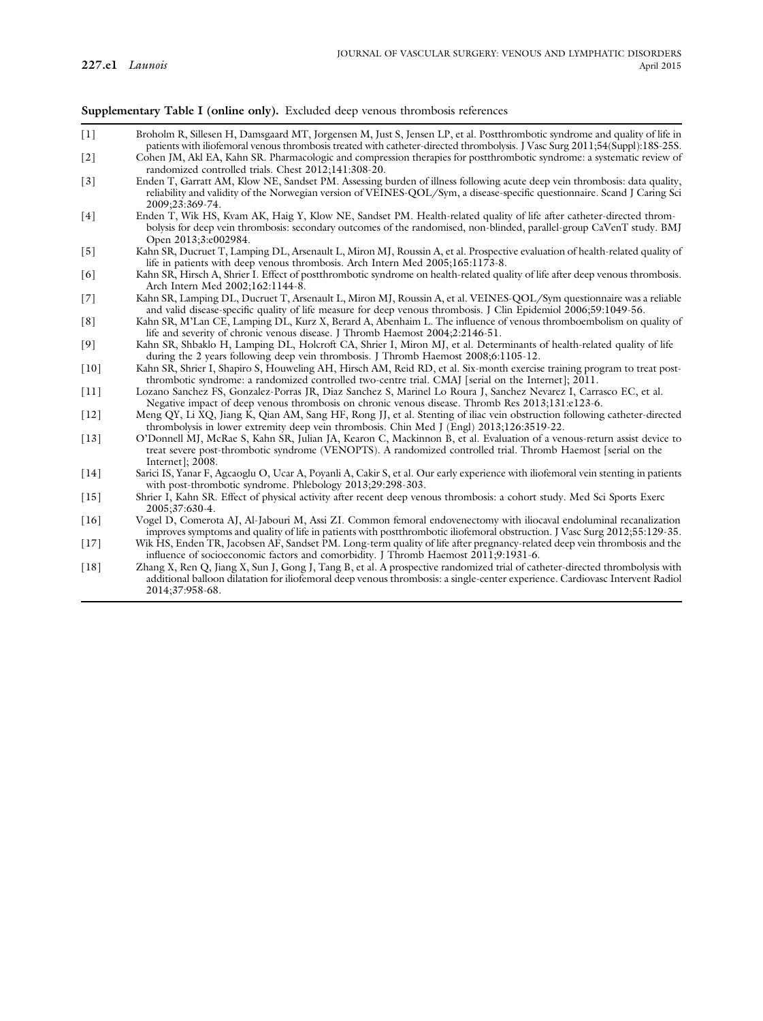# Supplementary Table I (online only). Excluded deep venous thrombosis references

| $[1]$              | Broholm R, Sillesen H, Damsgaard MT, Jorgensen M, Just S, Jensen LP, et al. Postthrombotic syndrome and quality of life in<br>patients with iliofemoral venous thrombosis treated with catheter-directed thrombolysis. J Vasc Surg 2011;54(Suppl):18S-25S.                       |
|--------------------|----------------------------------------------------------------------------------------------------------------------------------------------------------------------------------------------------------------------------------------------------------------------------------|
| $[2]$              | Cohen JM, Akl EA, Kahn SR. Pharmacologic and compression therapies for postthrombotic syndrome: a systematic review of<br>randomized controlled trials. Chest 2012;141:308-20.                                                                                                   |
| $[3]$              | Enden T, Garratt AM, Klow NE, Sandset PM. Assessing burden of illness following acute deep vein thrombosis: data quality,<br>reliability and validity of the Norwegian version of VEINES-QOL/Sym, a disease-specific questionnaire. Scand J Caring Sci<br>2009;23:369-74.        |
| $[4]$              | Enden T, Wik HS, Kvam AK, Haig Y, Klow NE, Sandset PM. Health-related quality of life after catheter-directed throm-<br>bolysis for deep vein thrombosis: secondary outcomes of the randomised, non-blinded, parallel-group CaVenT study. BMJ<br>Open 2013;3:e002984.            |
| $[5]$              | Kahn SR, Ducruet T, Lamping DL, Arsenault L, Miron MJ, Roussin A, et al. Prospective evaluation of health-related quality of<br>life in patients with deep venous thrombosis. Arch Intern Med 2005;165:1173-8.                                                                   |
| $\lceil 6 \rceil$  | Kahn SR, Hirsch A, Shrier I. Effect of postthrombotic syndrome on health-related quality of life after deep venous thrombosis.<br>Arch Intern Med 2002;162:1144-8.                                                                                                               |
| $[7]$              | Kahn SR, Lamping DL, Ducruet T, Arsenault L, Miron MJ, Roussin A, et al. VEINES-QOL/Sym questionnaire was a reliable<br>and valid disease-specific quality of life measure for deep venous thrombosis. J Clin Epidemiol 2006;59:1049-56.                                         |
| [8]                | Kahn SR, M'Lan CE, Lamping DL, Kurz X, Berard A, Abenhaim L. The influence of venous thromboembolism on quality of<br>life and severity of chronic venous disease. J Thromb Haemost 2004;2:2146-51.                                                                              |
| [9]                | Kahn SR, Shbaklo H, Lamping DL, Holcroft CA, Shrier I, Miron MJ, et al. Determinants of health-related quality of life<br>during the 2 years following deep vein thrombosis. J Thromb Haemost 2008;6:1105-12.                                                                    |
| [10]               | Kahn SR, Shrier I, Shapiro S, Houweling AH, Hirsch AM, Reid RD, et al. Six-month exercise training program to treat post-<br>thrombotic syndrome: a randomized controlled two-centre trial. CMAJ [serial on the Internet]; 2011.                                                 |
| $[11]$             | Lozano Sanchez FS, Gonzalez-Porras JR, Diaz Sanchez S, Marinel Lo Roura J, Sanchez Nevarez I, Carrasco EC, et al.<br>Negative impact of deep venous thrombosis on chronic venous disease. Thromb Res 2013;131:e123-6.                                                            |
| $[12]$             | Meng QY, Li XQ, Jiang K, Qian AM, Sang HF, Rong JJ, et al. Stenting of iliac vein obstruction following catheter-directed<br>thrombolysis in lower extremity deep vein thrombosis. Chin Med J (Engl) 2013;126:3519-22.                                                           |
| $\lceil 13 \rceil$ | O'Donnell MJ, McRae S, Kahn SR, Julian JA, Kearon C, Mackinnon B, et al. Evaluation of a venous-return assist device to<br>treat severe post-thrombotic syndrome (VENOPTS). A randomized controlled trial. Thromb Haemost [serial on the<br>Internet]; 2008.                     |
| $\lceil 14 \rceil$ | Sarici IS, Yanar F, Agcaoglu O, Ucar A, Poyanli A, Cakir S, et al. Our early experience with iliofemoral vein stenting in patients<br>with post-thrombotic syndrome. Phlebology 2013;29:298-303.                                                                                 |
| $\lceil 15 \rceil$ | Shrier I, Kahn SR. Effect of physical activity after recent deep venous thrombosis: a cohort study. Med Sci Sports Exerc<br>2005;37:630-4.                                                                                                                                       |
| $\lceil 16 \rceil$ | Vogel D, Comerota AJ, Al-Jabouri M, Assi ZI. Common femoral endovenectomy with iliocaval endoluminal recanalization<br>improves symptoms and quality of life in patients with postthrombotic iliofemoral obstruction. J Vasc Surg 2012;55:129-35.                                |
| $[17]$             | Wik HS, Enden TR, Jacobsen AF, Sandset PM. Long-term quality of life after pregnancy-related deep vein thrombosis and the<br>influence of socioeconomic factors and comorbidity. J Thromb Haemost 2011;9:1931-6.                                                                 |
| $\lceil 18 \rceil$ | Zhang X, Ren Q, Jiang X, Sun J, Gong J, Tang B, et al. A prospective randomized trial of catheter-directed thrombolysis with<br>additional balloon dilatation for iliofemoral deep venous thrombosis: a single-center experience. Cardiovasc Intervent Radiol<br>2014;37:958-68. |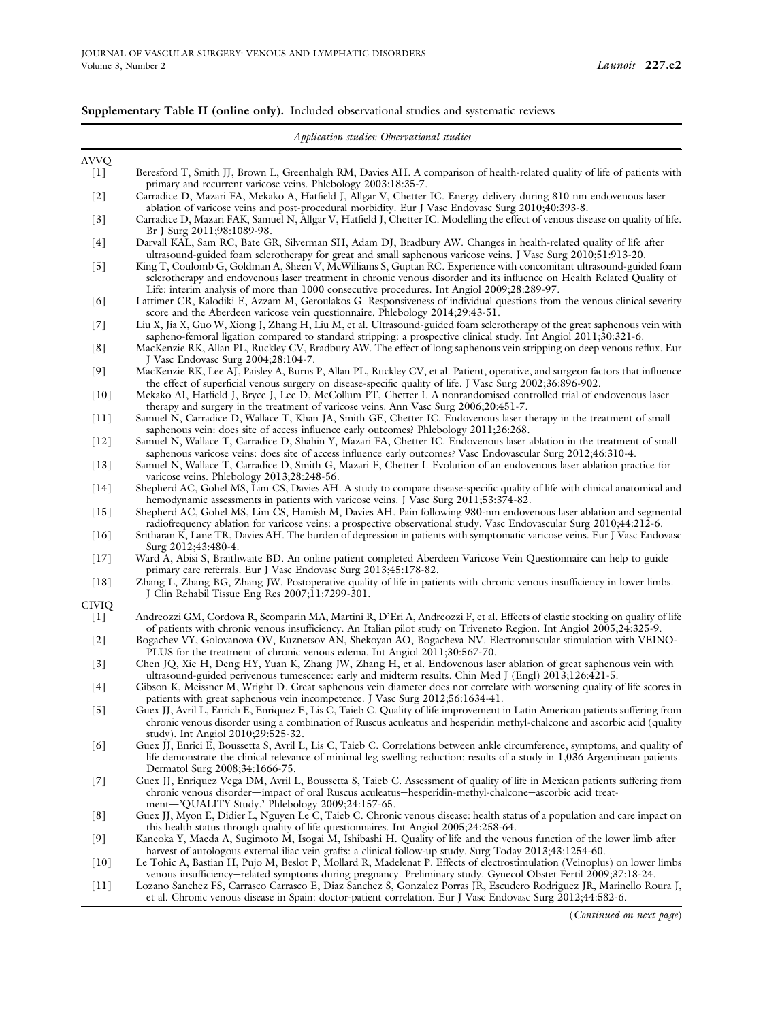# Supplementary Table II (online only). Included observational studies and systematic reviews

|                    | Application studies: Observational studies                                                                                                                                                                                                                                                                                                  |
|--------------------|---------------------------------------------------------------------------------------------------------------------------------------------------------------------------------------------------------------------------------------------------------------------------------------------------------------------------------------------|
| <b>AVVQ</b>        |                                                                                                                                                                                                                                                                                                                                             |
| $\lceil 1 \rceil$  | Beresford T, Smith JJ, Brown L, Greenhalgh RM, Davies AH. A comparison of health-related quality of life of patients with<br>primary and recurrent varicose veins. Phlebology 2003;18:35-7.                                                                                                                                                 |
| $[2]$              | Carradice D, Mazari FA, Mekako A, Hatfield J, Allgar V, Chetter IC. Energy delivery during 810 nm endovenous laser<br>ablation of varicose veins and post-procedural morbidity. Eur J Vasc Endovasc Surg 2010;40:393-8.                                                                                                                     |
| $\lceil 3 \rceil$  | Carradice D, Mazari FAK, Samuel N, Allgar V, Hatfield J, Chetter IC. Modelling the effect of venous disease on quality of life.<br>Br J Surg 2011;98:1089-98.                                                                                                                                                                               |
| $\lceil 4 \rceil$  | Darvall KAL, Sam RC, Bate GR, Silverman SH, Adam DJ, Bradbury AW. Changes in health-related quality of life after<br>ultrasound-guided foam sclerotherapy for great and small saphenous varicose veins. J Vasc Surg 2010;51:913-20.                                                                                                         |
| $\lceil 5 \rceil$  | King T, Coulomb G, Goldman A, Sheen V, McWilliams S, Guptan RC. Experience with concomitant ultrasound-guided foam<br>sclerotherapy and endovenous laser treatment in chronic venous disorder and its influence on Health Related Quality of<br>Life: interim analysis of more than 1000 consecutive procedures. Int Angiol 2009;28:289-97. |
| [6]                | Lattimer CR, Kalodiki E, Azzam M, Geroulakos G. Responsiveness of individual questions from the venous clinical severity<br>score and the Aberdeen varicose vein questionnaire. Phlebology 2014;29:43-51.                                                                                                                                   |
| $[7]$              | Liu X, Jia X, Guo W, Xiong J, Zhang H, Liu M, et al. Ultrasound-guided foam sclerotherapy of the great saphenous vein with<br>sapheno-femoral ligation compared to standard stripping: a prospective clinical study. Int Angiol 2011;30:321-6.                                                                                              |
| $\lceil 8 \rceil$  | MacKenzie RK, Allan PL, Ruckley CV, Bradbury AW. The effect of long saphenous vein stripping on deep venous reflux. Eur<br>J Vasc Endovasc Surg 2004;28:104-7.                                                                                                                                                                              |
| [9]                | MacKenzie RK, Lee AJ, Paisley A, Burns P, Allan PL, Ruckley CV, et al. Patient, operative, and surgeon factors that influence<br>the effect of superficial venous surgery on disease-specific quality of life. J Vasc Surg 2002;36:896-902.                                                                                                 |
| $\lceil 10 \rceil$ | Mekako AI, Hatfield J, Bryce J, Lee D, McCollum PT, Chetter I. A nonrandomised controlled trial of endovenous laser<br>therapy and surgery in the treatment of varicose veins. Ann Vasc Surg 2006;20:451-7.                                                                                                                                 |
| $[11]$             | Samuel N, Carradice D, Wallace T, Khan JA, Smith GE, Chetter IC. Endovenous laser therapy in the treatment of small<br>saphenous vein: does site of access influence early outcomes? Phlebology 2011;26:268.                                                                                                                                |
| $\lceil 12 \rceil$ | Samuel N, Wallace T, Carradice D, Shahin Y, Mazari FA, Chetter IC. Endovenous laser ablation in the treatment of small<br>saphenous varicose veins: does site of access influence early outcomes? Vasc Endovascular Surg 2012;46:310-4.                                                                                                     |
| $\lceil 13 \rceil$ | Samuel N, Wallace T, Carradice D, Smith G, Mazari F, Chetter I. Evolution of an endovenous laser ablation practice for<br>varicose veins. Phlebology 2013;28:248-56.                                                                                                                                                                        |
| $\lceil 14 \rceil$ | Shepherd AC, Gohel MS, Lim CS, Davies AH. A study to compare disease-specific quality of life with clinical anatomical and<br>hemodynamic assessments in patients with varicose veins. J Vasc Surg 2011;53:374-82.                                                                                                                          |
| $[15]$             | Shepherd AC, Gohel MS, Lim CS, Hamish M, Davies AH. Pain following 980-nm endovenous laser ablation and segmental<br>radiofrequency ablation for varicose veins: a prospective observational study. Vasc Endovascular Surg 2010;44:212-6.                                                                                                   |
| $\lceil 16 \rceil$ | Sritharan K, Lane TR, Davies AH. The burden of depression in patients with symptomatic varicose veins. Eur J Vasc Endovasc<br>Surg 2012;43:480-4.                                                                                                                                                                                           |
| $[17]$             | Ward A, Abisi S, Braithwaite BD. An online patient completed Aberdeen Varicose Vein Questionnaire can help to guide<br>primary care referrals. Eur J Vasc Endovasc Surg 2013;45:178-82.                                                                                                                                                     |
| $\lceil 18 \rceil$ | Zhang L, Zhang BG, Zhang JW. Postoperative quality of life in patients with chronic venous insufficiency in lower limbs.<br>J Clin Rehabil Tissue Eng Res 2007;11:7299-301.                                                                                                                                                                 |
| <b>CIVIQ</b>       |                                                                                                                                                                                                                                                                                                                                             |
| Ш                  | Andreozzi GM, Cordova R, Scomparin MA, Martini R, D'Eri A, Andreozzi F, et al. Effects of elastic stocking on quality of life<br>of patients with chronic venous insufficiency. An Italian pilot study on Triveneto Region. Int Angiol 2005;24:325-9.                                                                                       |
| $\lceil 2 \rceil$  | Bogachev VY, Golovanova OV, Kuznetsov AN, Shekoyan AO, Bogacheva NV. Electromuscular stimulation with VEINO-<br>PLUS for the treatment of chronic venous edema. Int Angiol 2011;30:567-70.                                                                                                                                                  |
| $\lceil 3 \rceil$  | Chen JQ, Xie H, Deng HY, Yuan K, Zhang JW, Zhang H, et al. Endovenous laser ablation of great saphenous vein with<br>ultrasound-guided perivenous tumescence: early and midterm results. Chin Med J (Engl) 2013;126:421-5.                                                                                                                  |
| [4]                | Gibson K, Meissner M, Wright D. Great saphenous vein diameter does not correlate with worsening quality of life scores in<br>patients with great saphenous vein incompetence. J Vasc Surg 2012;56:1634-41.                                                                                                                                  |
| $[5]$              | Guex JJ, Avril L, Enrich E, Enriquez E, Lis C, Taieb C. Quality of life improvement in Latin American patients suffering from<br>chronic venous disorder using a combination of Ruscus aculeatus and hesperidin methyl-chalcone and ascorbic acid (quality<br>study). Int Angiol 2010;29:525-32.                                            |
| [6]                | Guex JJ, Enrici E, Boussetta S, Avril L, Lis C, Taieb C. Correlations between ankle circumference, symptoms, and quality of<br>life demonstrate the clinical relevance of minimal leg swelling reduction: results of a study in 1,036 Argentinean patients.<br>Dermatol Surg 2008;34:1666-75.                                               |
| $^{[7]}$           | Guex JJ, Enriquez Vega DM, Avril L, Boussetta S, Taieb C. Assessment of quality of life in Mexican patients suffering from<br>chronic venous disorder—impact of oral Ruscus aculeatus—hesperidin-methyl-chalcone—ascorbic acid treat-<br>ment-'OUALITY Study.' Phlebology 2009;24:157-65.                                                   |
| [8]                | Guex JJ, Myon E, Didier L, Nguyen Le C, Taieb C. Chronic venous disease: health status of a population and care impact on<br>this health status through quality of life questionnaires. Int Angiol 2005;24:258-64.                                                                                                                          |
| $[9]$              | Kaneoka Y, Maeda A, Sugimoto M, Isogai M, Ishibashi H. Quality of life and the venous function of the lower limb after<br>harvest of autologous external iliac vein grafts: a clinical follow-up study. Surg Today 2013;43:1254-60.                                                                                                         |
| $\lceil 10 \rceil$ | Le Tohic A, Bastian H, Pujo M, Beslot P, Mollard R, Madelenat P. Effects of electrostimulation (Veinoplus) on lower limbs<br>venous insufficiency-related symptoms during pregnancy. Preliminary study. Gynecol Obstet Fertil 2009;37:18-24.                                                                                                |
| $[11]$             | Lozano Sanchez FS, Carrasco Carrasco E, Diaz Sanchez S, Gonzalez Porras JR, Escudero Rodriguez JR, Marinello Roura J,<br>et al. Chronic venous disease in Spain: doctor-patient correlation. Eur J Vasc Endovasc Surg 2012;44:582-6.                                                                                                        |

(Continued on next page)